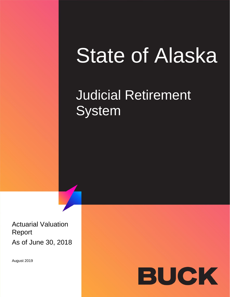## State of Alaska

## Judicial Retirement System

Actuarial Valuation Report As of June 30, 2018

August 2019

# BUCK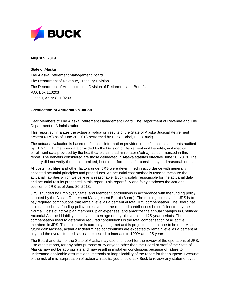

August 9, 2019

State of Alaska The Alaska Retirement Management Board The Department of Revenue, Treasury Division The Department of Administration, Division of Retirement and Benefits P.O. Box 110203 Juneau, AK 99811-0203

#### **Certification of Actuarial Valuation**

Dear Members of The Alaska Retirement Management Board, The Department of Revenue and The Department of Administration:

This report summarizes the actuarial valuation results of the State of Alaska Judicial Retirement System (JRS) as of June 30, 2018 performed by Buck Global, LLC (Buck).

The actuarial valuation is based on financial information provided in the financial statements audited by KPMG LLP, member data provided by the Division of Retirement and Benefits, and medical enrollment data provided by the healthcare claims administrator (Aetna), as summarized in this report. The benefits considered are those delineated in Alaska statutes effective June 30, 2018. The actuary did not verify the data submitted, but did perform tests for consistency and reasonableness.

All costs, liabilities and other factors under JRS were determined in accordance with generally accepted actuarial principles and procedures. An actuarial cost method is used to measure the actuarial liabilities which we believe is reasonable. Buck is solely responsible for the actuarial data and actuarial results presented in this report. This report fully and fairly discloses the actuarial position of JRS as of June 30, 2018.

JRS is funded by Employer, State, and Member Contributions in accordance with the funding policy adopted by the Alaska Retirement Management Board (Board). The funding objective for JRS is to pay required contributions that remain level as a percent of total JRS compensation. The Board has also established a funding policy objective that the required contributions be sufficient to pay the Normal Costs of active plan members, plan expenses, and amortize the annual changes in Unfunded Actuarial Accrued Liability as a level percentage of payroll over closed 25-year periods. The compensation used to determine required contributions is the total compensation of all active members in JRS. This objective is currently being met and is projected to continue to be met. Absent future gains/losses, actuarially determined contributions are expected to remain level as a percent of pay and the overall funded status is expected to increase to 100% after 25 years.

The Board and staff of the State of Alaska may use this report for the review of the operations of JRS. Use of this report, for any other purpose or by anyone other than the Board or staff of the State of Alaska may not be appropriate and may result in mistaken conclusions because of failure to understand applicable assumptions, methods or inapplicability of the report for that purpose. Because of the risk of misinterpretation of actuarial results, you should ask Buck to review any statement you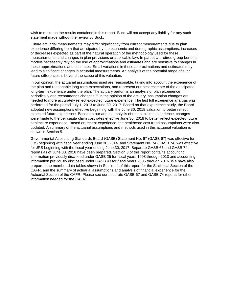wish to make on the results contained in this report. Buck will not accept any liability for any such statement made without the review by Buck.

Future actuarial measurements may differ significantly from current measurements due to plan experience differing from that anticipated by the economic and demographic assumptions, increases or decreases expected as part of the natural operation of the methodology used for these measurements, and changes in plan provisions or applicable law. In particular, retiree group benefits models necessarily rely on the use of approximations and estimates and are sensitive to changes in these approximations and estimates. Small variations in these approximations and estimates may lead to significant changes in actuarial measurements. An analysis of the potential range of such future differences is beyond the scope of this valuation.

In our opinion, the actuarial assumptions used are reasonable, taking into account the experience of the plan and reasonable long-term expectations, and represent our best estimate of the anticipated long-term experience under the plan. The actuary performs an analysis of plan experience periodically and recommends changes if, in the opinion of the actuary, assumption changes are needed to more accurately reflect expected future experience. The last full experience analysis was performed for the period July 1, 2013 to June 30, 2017. Based on that experience study, the Board adopted new assumptions effective beginning with the June 30, 2018 valuation to better reflect expected future experience. Based on our annual analysis of recent claims experience, changes were made to the per capita claim cost rates effective June 30, 2018 to better reflect expected future healthcare experience. Based on recent experience, the healthcare cost trend assumptions were also updated. A summary of the actuarial assumptions and methods used in this actuarial valuation is shown in Section 5.

Governmental Accounting Standards Board (GASB) Statement No. 67 (GASB 67) was effective for JRS beginning with fiscal year ending June 30, 2014, and Statement No. 74 (GASB 74) was effective for JRS beginning with the fiscal year ending June 30, 2017. Separate GASB 67 and GASB 74 reports as of June 30, 2018 have been prepared. Section 3 of this report contains accounting information previously disclosed under GASB 25 for fiscal years 1998 through 2013 and accounting information previously disclosed under GASB 43 for fiscal years 2006 through 2016. We have also prepared the member data tables shown in Section 4 of this report for the Statistical Section of the CAFR, and the summary of actuarial assumptions and analysis of financial experience for the Actuarial Section of the CAFR. Please see our separate GASB 67 and GASB 74 reports for other information needed for the CAFR.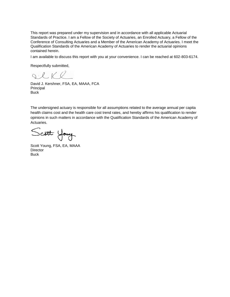This report was prepared under my supervision and in accordance with all applicable Actuarial Standards of Practice. I am a Fellow of the Society of Actuaries, an Enrolled Actuary, a Fellow of the Conference of Consulting Actuaries and a Member of the American Academy of Actuaries. I meet the Qualification Standards of the American Academy of Actuaries to render the actuarial opinions contained herein.

I am available to discuss this report with you at your convenience. I can be reached at 602-803-6174.

Respectfully submitted,

QCKR.

David J. Kershner, FSA, EA, MAAA, FCA Principal **Buck** 

The undersigned actuary is responsible for all assumptions related to the average annual per capita health claims cost and the health care cost trend rates, and hereby affirms his qualification to render opinions in such matters in accordance with the Qualification Standards of the American Academy of Actuaries.

Scott Young

Scott Young, FSA, EA, MAAA **Director Buck**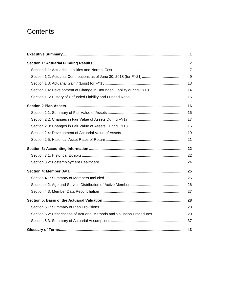## **Contents**

| Section 1.4: Development of Change in Unfunded Liability during FY1814    |  |
|---------------------------------------------------------------------------|--|
|                                                                           |  |
|                                                                           |  |
|                                                                           |  |
|                                                                           |  |
|                                                                           |  |
|                                                                           |  |
|                                                                           |  |
|                                                                           |  |
|                                                                           |  |
|                                                                           |  |
|                                                                           |  |
|                                                                           |  |
|                                                                           |  |
|                                                                           |  |
|                                                                           |  |
|                                                                           |  |
| Section 5.2: Descriptions of Actuarial Methods and Valuation Procedures29 |  |
|                                                                           |  |
|                                                                           |  |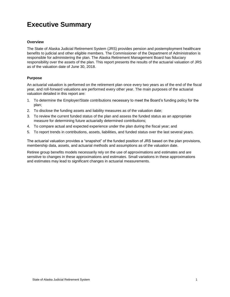## <span id="page-5-0"></span>**Executive Summary**

#### **Overview**

The State of Alaska Judicial Retirement System (JRS) provides pension and postemployment healthcare benefits to judicial and other eligible members. The Commissioner of the Department of Administration is responsible for administering the plan. The Alaska Retirement Management Board has fiduciary responsibility over the assets of the plan. This report presents the results of the actuarial valuation of JRS as of the valuation date of June 30, 2018.

#### **Purpose**

An actuarial valuation is performed on the retirement plan once every two years as of the end of the fiscal year, and roll-forward valuations are performed every other year. The main purposes of the actuarial valuation detailed in this report are:

- 1. To determine the Employer/State contributions necessary to meet the Board's funding policy for the plan;
- 2. To disclose the funding assets and liability measures as of the valuation date;
- 3. To review the current funded status of the plan and assess the funded status as an appropriate measure for determining future actuarially determined contributions;
- 4. To compare actual and expected experience under the plan during the fiscal year; and
- 5. To report trends in contributions, assets, liabilities, and funded status over the last several years.

The actuarial valuation provides a "snapshot" of the funded position of JRS based on the plan provisions, membership data, assets, and actuarial methods and assumptions as of the valuation date.

Retiree group benefits models necessarily rely on the use of approximations and estimates and are sensitive to changes in these approximations and estimates. Small variations in these approximations and estimates may lead to significant changes in actuarial measurements.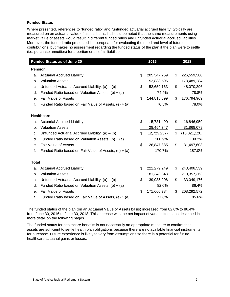#### **Funded Status**

Where presented, references to "funded ratio" and "unfunded actuarial accrued liability" typically are measured on an actuarial value of assets basis. It should be noted that the same measurements using market value of assets would result in different funded ratios and unfunded actuarial accrued liabilities. Moreover, the funded ratio presented is appropriate for evaluating the need and level of future contributions, but makes no assessment regarding the funded status of the plan if the plan were to settle (i.e. purchase annuities) for a portion or all of its liabilities.

| <b>Funded Status as of June 30</b> |                                                            | 2016                 | 2018               |
|------------------------------------|------------------------------------------------------------|----------------------|--------------------|
| <b>Pension</b>                     |                                                            |                      |                    |
| a.                                 | <b>Actuarial Accrued Liability</b>                         | \$<br>205,547,759    | \$<br>226,559,580  |
| b.                                 | <b>Valuation Assets</b>                                    | 152,888,596          | 178,489,284        |
| c.                                 | Unfunded Actuarial Accrued Liability, $(a) - (b)$          | \$<br>52,659,163     | \$<br>48,070,296   |
| d.                                 | Funded Ratio based on Valuation Assets, $(b) \div (a)$     | 74.4%                | 78.8%              |
| е.                                 | <b>Fair Value of Assets</b>                                | \$<br>144,818,899    | \$<br>176,794,969  |
| f.                                 | Funded Ratio based on Fair Value of Assets, (e) $\div$ (a) | 70.5%                | 78.0%              |
|                                    | <b>Healthcare</b>                                          |                      |                    |
| a.                                 | <b>Actuarial Accrued Liability</b>                         | \$<br>15,731,490     | \$<br>16,846,959   |
| b.                                 | <b>Valuation Assets</b>                                    | 28,454,747           | 31,868,079         |
| c.                                 | Unfunded Actuarial Accrued Liability, $(a) - (b)$          | \$<br>(12, 723, 257) | \$<br>(15,021,120) |
| d.                                 | Funded Ratio based on Valuation Assets, $(b) \div (a)$     | 180.9%               | 189.2%             |
| е.                                 | Fair Value of Assets                                       | \$<br>26,847,885     | \$<br>31,497,603   |
| f.                                 | Funded Ratio based on Fair Value of Assets, (e) $\div$ (a) | 170.7%               | 187.0%             |
| <b>Total</b>                       |                                                            |                      |                    |
| a.                                 | <b>Actuarial Accrued Liability</b>                         | \$<br>221,279,249    | \$<br>243,406,539  |
| b.                                 | <b>Valuation Assets</b>                                    | 181, 343, 343        | 210,357,363        |
| c.                                 | Unfunded Actuarial Accrued Liability, $(a) - (b)$          | \$<br>39,935,906     | \$<br>33,049,176   |
| d.                                 | Funded Ratio based on Valuation Assets, (b) $\div$ (a)     | 82.0%                | 86.4%              |
| е.                                 | <b>Fair Value of Assets</b>                                | \$<br>171,666,784    | \$<br>208,292,572  |
| f.                                 | Funded Ratio based on Fair Value of Assets, (e) $\div$ (a) | 77.6%                | 85.6%              |

The funded status of the plan (on an Actuarial Value of Assets basis) increased from 82.0% to 86.4%. from June 30, 2016 to June 30, 2018. This increase was the net impact of various items, as described in more detail on the following pages.

The funded status for healthcare benefits is not necessarily an appropriate measure to confirm that assets are sufficient to settle health plan obligations because there are no available financial instruments for purchase. Future experience is likely to vary from assumptions so there is a potential for future healthcare actuarial gains or losses.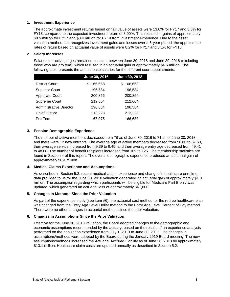#### **1. Investment Experience**

The approximate investment returns based on fair value of assets were 13.0% for FY17 and 8.3% for FY18, compared to the expected investment return of 8.00%. This resulted in gains of approximately \$8.5 million for FY17 and \$0.4 million for FY18 from investment experience. Due to the asset valuation method that recognizes investment gains and losses over a 5-year period, the approximate rates of return based on actuarial value of assets were 8.2% for FY17 and 8.1% for FY18.

#### **2. Salary Increases**

Salaries for active judges remained constant between June 30, 2016 and June 30, 2018 (excluding those who are pro tem), which resulted in an actuarial gain of approximately \$4.6 million. The following table presents the annual base salaries for the different court appointments:

|                         | June 30, 2016 | June 30, 2018 |
|-------------------------|---------------|---------------|
| District Court          | 166,668<br>S. | 166,668<br>S. |
| <b>Superior Court</b>   | 196,584       | 196,584       |
| <b>Appellate Court</b>  | 200,856       | 200,856       |
| Supreme Court           | 212,604       | 212,604       |
| Administrative Director | 196,584       | 196,584       |
| <b>Chief Justice</b>    | 213,228       | 213,228       |
| Pro Tem                 | 67,975        | 166,680       |

#### **3. Pension Demographic Experience**

The number of active members decreased from 76 as of June 30, 2016 to 71 as of June 30, 2018, and there were 12 new entrants. The average age of active members decreased from 58.80 to 57.53, their average service increased from 9.39 to 9.45, and their average entry age decreased from 49.41 to 48.08. The number of benefit recipients increased from 109 to 125. The membership statistics are found in Section 4 of this report. The overall demographic experience produced an actuarial gain of approximately \$0.4 million.

#### **4. Medical Claims Experience and Assumptions**

As described in Section 5.2, recent medical claims experience and changes in healthcare enrollment data provided to us for the June 30, 2018 valuation generated an actuarial gain of approximately \$1.8 million. The assumption regarding which participants will be eligible for Medicare Part B only was updated, which generated an actuarial loss of approximately \$41,000.

#### **5. Changes in Methods Since the Prior Valuation**

As part of the experience study (see item #6), the actuarial cost method for the retiree healthcare plan was changed from the Entry Age Level Dollar method to the Entry Age Level Percent of Pay method. There were no other changes in actuarial methods since the prior valuation.

#### **6. Changes in Assumptions Since the Prior Valuation**

Effective for the June 30, 2018 valuation, the Board adopted changes to the demographic and economic assumptions recommended by the actuary, based on the results of an experience analysis performed on the population experience from July 1, 2013 to June 30, 2017. The changes in assumptions/methods were adopted by the Board during the January 2019 Board meeting. The new assumptions/methods increased the Actuarial Accrued Liability as of June 30, 2018 by approximately \$13.1 million. Healthcare claim costs are updated annually as described in Section 5.2.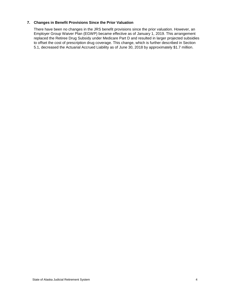#### **7. Changes in Benefit Provisions Since the Prior Valuation**

There have been no changes in the JRS benefit provisions since the prior valuation. However, an Employer Group Waiver Plan (EGWP) became effective as of January 1, 2019. This arrangement replaced the Retiree Drug Subsidy under Medicare Part D and resulted in larger projected subsidies to offset the cost of prescription drug coverage. This change, which is further described in Section 5.1, decreased the Actuarial Accrued Liability as of June 30, 2018 by approximately \$1.7 million.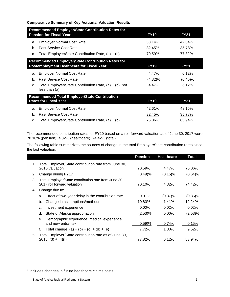#### **Comparative Summary of Key Actuarial Valuation Results**

|                                                                                | <b>Recommended Employer/State Contribution Rates for</b> |               |             |  |  |  |  |  |
|--------------------------------------------------------------------------------|----------------------------------------------------------|---------------|-------------|--|--|--|--|--|
|                                                                                | <b>Pension for Fiscal Year</b>                           | <b>FY19</b>   | <b>FY21</b> |  |  |  |  |  |
| a.                                                                             | <b>Employer Normal Cost Rate</b>                         | 38.14%        | 42.04%      |  |  |  |  |  |
| b.                                                                             | Past Service Cost Rate                                   | 32.45%        | 35.78%      |  |  |  |  |  |
| C.                                                                             | Total Employer/State Contribution Rate, $(a) + (b)$      | 70.59%        | 77.82%      |  |  |  |  |  |
|                                                                                | <b>Recommended Employer/State Contribution Rates for</b> |               |             |  |  |  |  |  |
| <b>Postemployment Healthcare for Fiscal Year</b><br><b>FY19</b><br><b>FY21</b> |                                                          |               |             |  |  |  |  |  |
| a.                                                                             | <b>Employer Normal Cost Rate</b>                         | 4.47%         | 6.12%       |  |  |  |  |  |
| b.                                                                             | Past Service Cost Rate                                   | $(4.82)\%$    | $(6.45)\%$  |  |  |  |  |  |
| $C_{r}$                                                                        | Total Employer/State Contribution Rate, (a) + (b), not   | 4.47%         | 6.12%       |  |  |  |  |  |
|                                                                                | less than (a)                                            |               |             |  |  |  |  |  |
|                                                                                | <b>Recommended Total Employer/State Contribution</b>     |               |             |  |  |  |  |  |
|                                                                                | <b>Rates for Fiscal Year</b>                             | <b>FY19</b>   | <b>FY21</b> |  |  |  |  |  |
| a.                                                                             | <b>Employer Normal Cost Rate</b>                         | 42.61%        | 48.16%      |  |  |  |  |  |
| b.                                                                             | <b>Past Service Cost Rate</b>                            | <u>32.45%</u> | 35.78%      |  |  |  |  |  |
| c.                                                                             | Total Employer/State Contribution Rate, $(a) + (b)$      | 75.06%        | 83.94%      |  |  |  |  |  |

The recommended contribution rates for FY20 based on a roll-forward valuation as of June 30, 2017 were 70.10% (pension), 4.32% (healthcare), 74.42% (total).

The following table summarizes the sources of change in the total Employer/State contribution rates since the last valuation.

|    |                                                                                     | <b>Pension</b> | <b>Healthcare</b> | Total      |
|----|-------------------------------------------------------------------------------------|----------------|-------------------|------------|
| 1. | Total Employer/State contribution rate from June 30,                                |                |                   |            |
|    | 2016 valuation                                                                      | 70.59%         | 4.47%             | 75.06%     |
| 2. | Change during FY17                                                                  | (0.49)%        | $(0.15)$ %        | $(0.64)$ % |
| 3. | Total Employer/State contribution rate from June 30,<br>2017 roll forward valuation | 70.10%         | 4.32%             | 74.42%     |
| 4. | Change due to:                                                                      |                |                   |            |
|    | Effect of two-year delay in the contribution rate<br>a.                             | 0.01%          | $(0.37)\%$        | $(0.36)\%$ |
|    | Change in assumptions/methods<br>b.                                                 | 10.83%         | 1.41%             | 12.24%     |
|    | Investment experience<br>c.                                                         | $0.00\%$       | 0.02%             | 0.02%      |
|    | State of Alaska appropriation<br>d.                                                 | (2.53)%        | $0.00\%$          | (2.53)%    |
|    | Demographic experience, medical experience<br>e.                                    |                |                   |            |
|    | and new entrants <sup>1</sup>                                                       | (0.59)%        | 0.74%             | 0.15%      |
|    | Total change, $(a) + (b) + (c) + (d) + (e)$<br>f.                                   | 7.72%          | 1.80%             | 9.52%      |
| 5. | Total Employer/State contribution rate as of June 30,<br>$2018, (3) + (4)(f)$       | 77.82%         | 6.12%             | 83.94%     |

<sup>1</sup> Includes changes in future healthcare claims costs.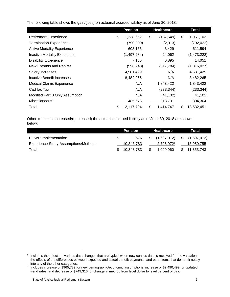<span id="page-10-0"></span>The following table shows the gain/(loss) on actuarial accrued liability as of June 30, 2018:

|                                      | <b>Pension</b> |               | <b>Healthcare</b> |    | <b>Total</b> |
|--------------------------------------|----------------|---------------|-------------------|----|--------------|
| <b>Retirement Experience</b>         | \$             | 1,238,652     | \$<br>(187, 549)  | \$ | 1,051,103    |
| <b>Termination Experience</b>        |                | (790,009)     | (2,013)           |    | (792, 022)   |
| <b>Active Mortality Experience</b>   |                | 608,165       | 3,429             |    | 611,594      |
| <b>Inactive Mortality Experience</b> |                | (1, 497, 284) | 24,062            |    | (1,473,222)  |
| <b>Disability Experience</b>         |                | 7,156         | 6,895             |    | 14,051       |
| New Entrants and Rehires             |                | (998, 243)    | (317, 784)        |    | (1,316,027)  |
| Salary Increases                     |                | 4,581,429     | N/A               |    | 4,581,429    |
| Inactive Benefit Increases           |                | 8,482,265     | N/A               |    | 8,482,265    |
| <b>Medical Claims Experience</b>     |                | N/A           | 1,843,422         |    | 1,843,422    |
| Cadillac Tax                         |                | N/A           | (233, 344)        |    | (233, 344)   |
| Modified Part B Only Assumption      |                | N/A           | (41, 102)         |    | (41, 102)    |
| Miscellaneous <sup>1</sup>           |                | 485,573       | 318,731           |    | 804,304      |
| Total                                | \$             | 12,117,704    | \$<br>1,414,747   | \$ | 13,532,451   |

Other items that increased/(decreased) the actuarial accrued liability as of June 30, 2018 are shown below:

|                                             | Healthcare<br>Pension |    | Total                  |    |             |
|---------------------------------------------|-----------------------|----|------------------------|----|-------------|
| <b>EGWP</b> Implementation                  | N/A                   |    | (1,697,012)            | S. | (1,697,012) |
| <b>Experience Study Assumptions/Methods</b> | 10,343,783            |    | 2.706.972 <sup>2</sup> |    | 13,050,755  |
| Total                                       | 10,343,783            | \$ | 1.009.960              | S. | 11.353.743  |

<sup>&</sup>lt;sup>1</sup> Includes the effects of various data changes that are typical when new census data is received for the valuation, the effects of the differences between expected and actual benefit payments, and other items that do not fit neatly into any of the other categories.

<sup>2</sup> Includes increase of \$965,789 for new demographic/economic assumptions, increase of \$2,490,499 for updated trend rates, and decrease of \$749,316 for change in method from level dollar to level percent of pay.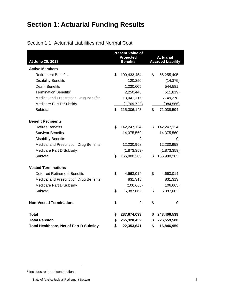## **Section 1: Actuarial Funding Results**

<span id="page-11-0"></span>

|                                                | <b>Present Value of</b><br>Projected<br><b>Benefits</b> |             |    | <b>Actuarial</b>         |
|------------------------------------------------|---------------------------------------------------------|-------------|----|--------------------------|
| At June 30, 2018<br><b>Active Members</b>      |                                                         |             |    | <b>Accrued Liability</b> |
| <b>Retirement Benefits</b>                     | \$                                                      | 100,433,454 | \$ | 65,255,495               |
| <b>Disability Benefits</b>                     |                                                         | 120,250     |    | (14, 375)                |
| <b>Death Benefits</b>                          |                                                         | 1,230,605   |    | 544,581                  |
| Termination Benefits <sup>1</sup>              |                                                         | 2,250,445   |    | (511, 819)               |
| Medical and Prescription Drug Benefits         |                                                         | 13,041,116  |    | 6,749,278                |
|                                                |                                                         |             |    |                          |
| Medicare Part D Subsidy                        |                                                         | (1,769,722) |    | (984, 566)               |
| Subtotal                                       | \$                                                      | 115,306,148 | \$ | 71,038,594               |
| <b>Benefit Recipients</b>                      |                                                         |             |    |                          |
| <b>Retiree Benefits</b>                        | \$                                                      | 142,247,124 | \$ | 142,247,124              |
| <b>Survivor Benefits</b>                       |                                                         | 14,375,560  |    | 14,375,560               |
| <b>Disability Benefits</b>                     |                                                         | 0           |    | 0                        |
| <b>Medical and Prescription Drug Benefits</b>  |                                                         | 12,230,958  |    | 12,230,958               |
| Medicare Part D Subsidy                        |                                                         | (1,873,359) |    | (1,873,359)              |
| Subtotal                                       | \$                                                      | 166,980,283 | \$ | 166,980,283              |
|                                                |                                                         |             |    |                          |
| <b>Vested Terminations</b>                     |                                                         |             |    |                          |
| <b>Deferred Retirement Benefits</b>            | \$                                                      | 4,663,014   | \$ | 4,663,014                |
| Medical and Prescription Drug Benefits         |                                                         | 831,313     |    | 831,313                  |
| Medicare Part D Subsidy                        |                                                         | (106, 665)  |    | (106, 665)               |
| Subtotal                                       | \$                                                      | 5,387,662   | \$ | 5,387,662                |
| <b>Non-Vested Terminations</b>                 | \$                                                      | $\mathbf 0$ | \$ | 0                        |
| <b>Total</b>                                   | \$                                                      | 287,674,093 | \$ | 243,406,539              |
| <b>Total Pension</b>                           | \$                                                      | 265,320,452 | \$ | 226,559,580              |
| <b>Total Healthcare, Net of Part D Subsidy</b> | \$                                                      | 22,353,641  | \$ | 16,846,959               |

<sup>1</sup> Includes return of contributions.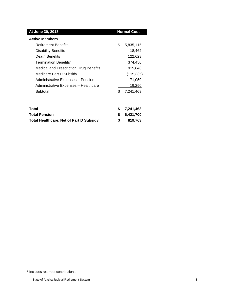| At June 30, 2018                         |    | <b>Normal Cost</b> |
|------------------------------------------|----|--------------------|
| <b>Active Members</b>                    |    |                    |
| <b>Retirement Benefits</b>               | \$ | 5,835,115          |
| <b>Disability Benefits</b>               |    | 18,462             |
| Death Benefits                           |    | 122,623            |
| Termination Benefits <sup>1</sup>        |    | 374,450            |
| Medical and Prescription Drug Benefits   |    | 915,848            |
| Medicare Part D Subsidy                  |    | (115, 335)         |
| <b>Administrative Expenses - Pension</b> |    | 71,050             |
| Administrative Expenses - Healthcare     |    | 19,250             |
| Subtotal                                 | \$ | 7,241,463          |
|                                          |    |                    |
| Total                                    | S  | 7,241,463          |

<span id="page-12-0"></span>**Total Pension \$ 6,421,700 Total Healthcare, Net of Part D Subsidy \$ 819,763**

<sup>1</sup> Includes return of contributions.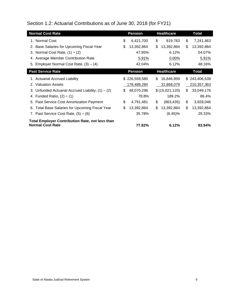Section 1.2: Actuarial Contributions as of June 30, 2018 (for FY21)

| <b>Normal Cost Rate</b>                                                           |     | <b>Pension</b> | <b>Healthcare</b> | Total            |
|-----------------------------------------------------------------------------------|-----|----------------|-------------------|------------------|
| 1. Normal Cost                                                                    | \$  | 6,421,700      | \$<br>819,763     | \$<br>7,241,463  |
| 2. Base Salaries for Upcoming Fiscal Year                                         | \$  | 13,392,864     | \$<br>13,392,864  | \$<br>13,392,864 |
| 3. Normal Cost Rate, $(1) \div (2)$                                               |     | 47.95%         | 6.12%             | 54.07%           |
| 4. Average Member Contribution Rate                                               |     | 5.91%          | 0.00%             | 5.91%            |
| 5. Employer Normal Cost Rate, $(3) - (4)$                                         |     | 42.04%         | 6.12%             | 48.16%           |
| <b>Past Service Rate</b>                                                          |     | <b>Pension</b> | <b>Healthcare</b> | <b>Total</b>     |
| 1. Actuarial Accrued Liability                                                    |     | \$226,559,580  | \$<br>16,846,959  | \$243,406,539    |
| 2. Valuation Assets                                                               |     | 178,489,284    | 31,868,079        | 210,357,363      |
| 3. Unfunded Actuarial Accrued Liability, $(1) - (2)$                              | \$. | 48,070,296     | \$(15,021,120)    | \$<br>33,049,176 |
| 4. Funded Ratio, $(2) \div (1)$                                                   |     | 78.8%          | 189.2%            | 86.4%            |
| 5. Past Service Cost Amortization Payment                                         | \$  | 4,791,481      | \$<br>(863, 435)  | \$<br>3,928,046  |
| 6. Total Base Salaries for Upcoming Fiscal Year                                   | \$  | 13,392,864     | \$<br>13,392,864  | \$<br>13,392,864 |
| 7. Past Service Cost Rate, $(5) \div (6)$                                         |     | 35.78%         | $(6.45)\%$        | 29.33%           |
| <b>Total Employer Contribution Rate, not less than</b><br><b>Normal Cost Rate</b> |     | 77.82%         | 6.12%             | 83.94%           |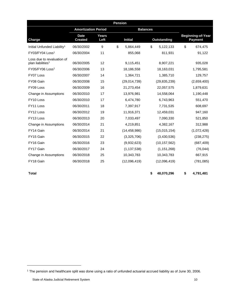| <b>Pension</b>                                              |                               |               |    |                |                 |                    |    |                                            |  |
|-------------------------------------------------------------|-------------------------------|---------------|----|----------------|-----------------|--------------------|----|--------------------------------------------|--|
|                                                             | <b>Amortization Period</b>    |               |    |                | <b>Balances</b> |                    |    |                                            |  |
| <b>Charge</b>                                               | <b>Date</b><br><b>Created</b> | Years<br>Left |    | <b>Initial</b> |                 | <b>Outstanding</b> |    | <b>Beginning-of-Year</b><br><b>Payment</b> |  |
| Initial Unfunded Liability <sup>1</sup>                     | 06/30/2002                    | 9             | \$ | 5,864,449      | \$              | 5,122,133          | \$ | 674,475                                    |  |
| FY03/FY04 Loss <sup>1</sup>                                 | 06/30/2004                    | 11            |    | 855,068        |                 | 811,931            |    | 91,122                                     |  |
| Loss due to revaluation of<br>plan liabilities <sup>1</sup> | 06/30/2005                    | 12            |    | 9,115,451      |                 | 8,907,221          |    | 935,028                                    |  |
| FY05/FY06 Loss <sup>1</sup>                                 | 06/30/2006                    | 13            |    | 18,186,558     |                 | 18,163,031         |    | 1,795,581                                  |  |
| FY07 Loss                                                   | 06/30/2007                    | 14            |    | 1,364,721      |                 | 1,385,710          |    | 129,757                                    |  |
| FY08 Gain                                                   | 06/30/2008                    | 15            |    | (29,014,739)   |                 | (29, 835, 239)     |    | (2,659,400)                                |  |
| FY09 Loss                                                   | 06/30/2009                    | 16            |    | 21,273,454     |                 | 22,057,575         |    | 1,879,631                                  |  |
| Change in Assumptions                                       | 06/30/2010                    | 17            |    | 13,976,981     |                 | 14,558,064         |    | 1,190,448                                  |  |
| FY10 Loss                                                   | 06/30/2010                    | 17            |    | 6,474,780      |                 | 6,743,963          |    | 551,470                                    |  |
| FY11 Loss                                                   | 06/30/2011                    | 18            |    | 7,397,917      |                 | 7,731,535          |    | 608,697                                    |  |
| FY12 Loss                                                   | 06/30/2012                    | 19            |    | 11,916,371     |                 | 12,459,031         |    | 947,160                                    |  |
| FY13 Loss                                                   | 06/30/2013                    | 20            |    | 7,033,497      |                 | 7,090,330          |    | 521,850                                    |  |
| Change in Assumptions                                       | 06/30/2014                    | 21            |    | 4,219,851      |                 | 4,382,167          |    | 312,988                                    |  |
| FY14 Gain                                                   | 06/30/2014                    | 21            |    | (14, 458, 986) |                 | (15, 015, 154)     |    | (1,072,428)                                |  |
| FY15 Gain                                                   | 06/30/2015                    | 22            |    | (3,325,706)    |                 | (3,430,536)        |    | (238, 275)                                 |  |
| FY16 Gain                                                   | 06/30/2016                    | 23            |    | (9,932,623)    |                 | (10, 157, 562)     |    | (687, 409)                                 |  |
| FY17 Gain                                                   | 06/30/2017                    | 24            |    | (1, 137, 538)  |                 | (1, 151, 268)      |    | (76, 044)                                  |  |
| Change in Assumptions                                       | 06/30/2018                    | 25            |    | 10,343,783     |                 | 10,343,783         |    | 667,915                                    |  |
| FY18 Gain                                                   | 06/30/2018                    | 25            |    | (12,096,419)   |                 | (12,096,419)       |    | (781, 085)                                 |  |

l

**Total \$ 48,070,296 \$ 4,791,481**

<sup>1</sup> The pension and healthcare split was done using a ratio of unfunded actuarial accrued liability as of June 30, 2006.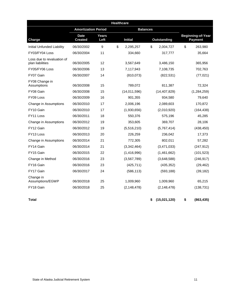|                                                |                               |                      | <b>Healthcare</b> |                 |                    |                                            |
|------------------------------------------------|-------------------------------|----------------------|-------------------|-----------------|--------------------|--------------------------------------------|
|                                                | <b>Amortization Period</b>    |                      |                   | <b>Balances</b> |                    |                                            |
| Charge                                         | <b>Date</b><br><b>Created</b> | <b>Years</b><br>Left |                   | <b>Initial</b>  | <b>Outstanding</b> | <b>Beginning-of-Year</b><br><b>Payment</b> |
| <b>Initial Unfunded Liability</b>              | 06/30/2002                    | 9                    | \$                | 2,295,257       | \$<br>2,004,727    | \$<br>263,980                              |
| FY03/FY04 Loss                                 | 06/30/2004                    | 11                   |                   | 334,660         | 317,777            | 35,664                                     |
| Loss due to revaluation of<br>plan liabilities | 06/30/2005                    | 12                   |                   | 3,567,649       | 3,486,150          | 365,956                                    |
| FY05/FY06 Loss                                 | 06/30/2006                    | 13                   |                   | 7,117,943       | 7,108,735          | 702,763                                    |
| FY07 Gain                                      | 06/30/2007                    | 14                   |                   | (810, 073)      | (822, 531)         | (77, 021)                                  |
| FY08 Change in<br>Assumptions                  | 06/30/2008                    | 15                   |                   | 789,072         | 811,387            | 72,324                                     |
| FY08 Gain                                      | 06/30/2008                    | 15                   |                   | (14,011,596)    | (14, 407, 829)     | (1,284,259)                                |
| FY09 Loss                                      | 06/30/2009                    | 16                   |                   | 901,355         | 934,580            | 79,640                                     |
| Change in Assumptions                          | 06/30/2010                    | 17                   |                   | 2,006,196       | 2,089,603          | 170,872                                    |
| FY10 Gain                                      | 06/30/2010                    | 17                   |                   | (1,930,656)     | (2,010,920)        | (164, 438)                                 |
| FY11 Loss                                      | 06/30/2011                    | 18                   |                   | 550,376         | 575,196            | 45,285                                     |
| Change in Assumptions                          | 06/30/2012                    | 19                   |                   | 353,605         | 369,707            | 28,106                                     |
| FY12 Gain                                      | 06/30/2012                    | 19                   |                   | (5,516,210)     | (5,767,414)        | (438, 450)                                 |
| FY13 Loss                                      | 06/30/2013                    | 20                   |                   | 226,259         | 236,042            | 17,373                                     |
| Change in Assumptions                          | 06/30/2014                    | 21                   |                   | 772,305         | 802,011            | 57,282                                     |
| FY14 Gain                                      | 06/30/2014                    | 21                   |                   | (3,342,464)     | (3,471,033)        | (247, 912)                                 |
| FY15 Gain                                      | 06/30/2015                    | 22                   |                   | (1,416,996)     | (1,461,662)        | (101, 523)                                 |
| Change in Method                               | 06/30/2016                    | 23                   |                   | (3, 567, 789)   | (3,648,588)        | (246, 917)                                 |
| FY16 Gain                                      | 06/30/2016                    | 23                   |                   | (425, 711)      | (435, 352)         | (29, 462)                                  |
| FY17 Gain                                      | 06/30/2017                    | 24                   |                   | (586, 113)      | (593, 188)         | (39, 182)                                  |
| Change in<br>Assumptions/EGWP                  | 06/30/2018                    | 25                   |                   | 1,009,960       | 1,009,960          | 65,215                                     |
| FY18 Gain                                      | 06/30/2018                    | 25                   |                   | (2, 148, 478)   | (2, 148, 478)      | (138, 731)                                 |
| Total                                          |                               |                      |                   |                 | \$<br>(15,021,120) | \$<br>(863, 435)                           |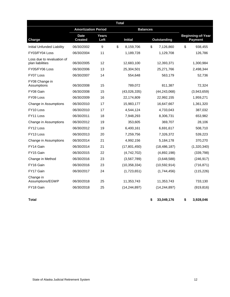|                                                | <b>Amortization Period</b>    |               |                 | <b>Balances</b> |                    |                                            |
|------------------------------------------------|-------------------------------|---------------|-----------------|-----------------|--------------------|--------------------------------------------|
| Charge                                         | <b>Date</b><br><b>Created</b> | Years<br>Left | <b>Initial</b>  |                 | <b>Outstanding</b> | <b>Beginning-of-Year</b><br><b>Payment</b> |
| <b>Initial Unfunded Liability</b>              | 06/30/2002                    | 9             | \$<br>8,159,706 | \$              | 7,126,860          | \$<br>938,455                              |
| FY03/FY04 Loss                                 | 06/30/2004                    | 11            | 1,189,728       |                 | 1,129,708          | 126,786                                    |
| Loss due to revaluation of<br>plan liabilities | 06/30/2005                    | 12            | 12,683,100      |                 | 12,393,371         | 1,300,984                                  |
| FY05/FY06 Loss                                 | 06/30/2006                    | 13            | 25,304,501      |                 | 25,271,766         | 2,498,344                                  |
| FY07 Loss                                      | 06/30/2007                    | 14            | 554,648         |                 | 563,179            | 52,736                                     |
| FY08 Change in<br>Assumptions                  | 06/30/2008                    | 15            | 789,072         |                 | 811,387            | 72,324                                     |
| FY08 Gain                                      | 06/30/2008                    | 15            | (43,026,335)    |                 | (44, 243, 068)     | (3,943,659)                                |
| FY09 Loss                                      | 06/30/2009                    | 16            | 22,174,809      |                 | 22,992,155         | 1,959,271                                  |
| Change in Assumptions                          | 06/30/2010                    | 17            | 15,983,177      |                 | 16,647,667         | 1,361,320                                  |
| FY <sub>10</sub> Loss                          | 06/30/2010                    | 17            | 4,544,124       |                 | 4,733,043          | 387,032                                    |
| FY11 Loss                                      | 06/30/2011                    | 18            | 7,948,293       |                 | 8,306,731          | 653,982                                    |
| Change in Assumptions                          | 06/30/2012                    | 19            | 353,605         |                 | 369,707            | 28,106                                     |
| FY12 Loss                                      | 06/30/2012                    | 19            | 6,400,161       |                 | 6,691,617          | 508,710                                    |
| FY13 Loss                                      | 06/30/2013                    | 20            | 7,259,756       |                 | 7,326,372          | 539,223                                    |
| Change in Assumptions                          | 06/30/2014                    | 21            | 4,992,156       |                 | 5,184,178          | 370,270                                    |
| FY14 Gain                                      | 06/30/2014                    | 21            | (17, 801, 450)  |                 | (18, 486, 187)     | (1,320,340)                                |
| FY15 Gain                                      | 06/30/2015                    | 22            | (4,742,702)     |                 | (4,892,198)        | (339, 798)                                 |
| Change in Method                               | 06/30/2016                    | 23            | (3, 567, 789)   |                 | (3,648,588)        | (246, 917)                                 |
| FY16 Gain                                      | 06/30/2016                    | 23            | (10, 358, 334)  |                 | (10, 592, 914)     | (716, 871)                                 |
| FY17 Gain                                      | 06/30/2017                    | 24            | (1,723,651)     |                 | (1,744,456)        | (115, 226)                                 |
| Change in<br>Assumptions/EGWP                  | 06/30/2018                    | 25            | 11,353,743      |                 | 11,353,743         | 733,130                                    |
| FY18 Gain                                      | 06/30/2018                    | 25            | (14, 244, 897)  |                 | (14, 244, 897)     | (919, 816)                                 |

**Total \$ 33,049,176 \$ 3,928,046**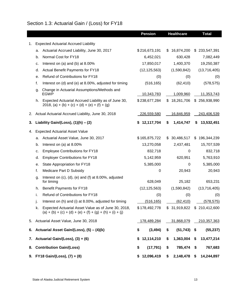## <span id="page-17-0"></span>Section 1.3: Actuarial Gain / (Loss) for FY18

|    |                                                                                                            |                                                                                                                    | <b>Pension</b>     |           | <b>Healthcare</b> |         | <b>Total</b>  |
|----|------------------------------------------------------------------------------------------------------------|--------------------------------------------------------------------------------------------------------------------|--------------------|-----------|-------------------|---------|---------------|
| 1. |                                                                                                            | <b>Expected Actuarial Accrued Liability</b>                                                                        |                    |           |                   |         |               |
|    | а.                                                                                                         | Actuarial Accrued Liability, June 30, 2017                                                                         | \$216,673,191      | S         | 16,874,200        | S.      | 233,547,391   |
|    | b.                                                                                                         | Normal Cost for FY18                                                                                               | 6,452,021          |           | 630,428           |         | 7,082,449     |
|    | c.                                                                                                         | Interest on (a) and (b) at $8.00\%$                                                                                | 17,850,017         | 1,400,370 |                   |         | 19,250,387    |
|    | d.                                                                                                         | Actual Benefit Payments for FY18                                                                                   | (12, 125, 563)     |           | (1,590,842)       |         | (13,716,405)  |
|    | е.                                                                                                         | Refund of Contributions for FY18                                                                                   | (0)                | (0)       |                   |         | (0)           |
|    | f.                                                                                                         | Interest on (d) and (e) at 8.00%, adjusted for timing                                                              | (516, 165)         |           | (62, 410)         |         | (578, 575)    |
|    | g.                                                                                                         | Change in Actuarial Assumptions/Methods and<br><b>EGWP</b>                                                         | 10,343,783         | 1,009,960 |                   |         | 11,353,743    |
|    | Expected Actuarial Accrued Liability as of June 30,<br>h.<br>2018, (a) + (b) + (c) + (d) + (e) + (f) + (g) |                                                                                                                    | \$238,677,284      | \$        | 18,261,706        |         | \$256,938,990 |
| 2. |                                                                                                            | Actual Actuarial Accrued Liability, June 30, 2018                                                                  | 226,559,580        |           | <u>16,846,959</u> |         | 243,406,539   |
| 3. |                                                                                                            | Liability Gain/(Loss), $(1)(h) - (2)$                                                                              | \$<br>12,117,704   | \$        | 1,414,747         | S       | 13,532,451    |
| 4. |                                                                                                            | <b>Expected Actuarial Asset Value</b>                                                                              |                    |           |                   |         |               |
|    | а.                                                                                                         | Actuarial Asset Value, June 30, 2017                                                                               | \$165,875,722      | \$        | 30,486,517        |         | \$196,344,239 |
|    | b.                                                                                                         | Interest on (a) at 8.00%                                                                                           | 13,270,058         |           | 2,437,481         |         | 15,707,539    |
|    | c.                                                                                                         | <b>Employee Contributions for FY18</b>                                                                             | 832,718            | 0         |                   | 832,718 |               |
|    | d.                                                                                                         | <b>Employer Contributions for FY18</b>                                                                             | 5,142,959          |           | 620,951           |         | 5,763,910     |
|    | е.                                                                                                         | State Appropriation for FY18                                                                                       | 5,385,000          |           | 0                 |         | 5,385,000     |
|    | f.                                                                                                         | Medicare Part D Subsidy                                                                                            | 0                  |           | 20,943            |         | 20,943        |
|    | g.                                                                                                         | Interest on $(c)$ , $(d)$ , $(e)$ and $(f)$ at 8.00%, adjusted<br>for timing                                       | 628,049            |           | 25,182            |         | 653,231       |
|    | h.                                                                                                         | Benefit Payments for FY18                                                                                          | (12, 125, 563)     |           | (1,590,842)       |         | (13,716,405)  |
|    | i.                                                                                                         | Refund of Contributions for FY18                                                                                   | (0)                |           | (0)               |         | (0)           |
|    | j.                                                                                                         | Interest on (h) and (i) at 8.00%, adjusted for timing                                                              | (516, 165)         |           | (62, 410)         |         | (578, 575)    |
|    | k.                                                                                                         | Expected Actuarial Asset Value as of June 30, 2018,<br>$(a) + (b) + (c) + (d) + (e) + (f) + (g) + (h) + (i) + (j)$ | \$178,492,778      |           | \$31,919,822      |         | \$210,412,600 |
| 5. |                                                                                                            | Actuarial Asset Value, June 30, 2018                                                                               | <u>178,489,284</u> |           | 31,868,079        |         | 210,357,363   |
| 6. |                                                                                                            | Actuarial Asset Gain/(Loss), (5) - (4)(k)                                                                          | \$<br>(3, 494)     | \$        | (51, 743)         | \$      | (55, 237)     |
| 7. |                                                                                                            | Actuarial Gain/(Loss), (3) + (6)                                                                                   | \$<br>12,114,210   | \$        | 1,363,004         | \$      | 13,477,214    |
| 8. | <b>Contribution Gain/(Loss)</b>                                                                            |                                                                                                                    | \$<br>(17, 791)    | \$        | 785,474           | \$      | 767,683       |
|    |                                                                                                            | 9. FY18 Gain/(Loss), (7) + (8)                                                                                     | \$12,096,419       | \$        | 2,148,478         | \$      | 14,244,897    |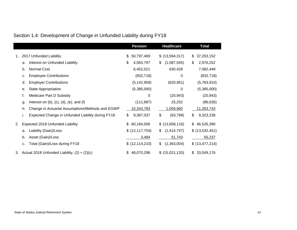## Section 1.4: Development of Change in Unfunded Liability during FY18

<span id="page-18-0"></span>

|    |    |                                                       |    | <b>Pension</b>    | <b>Healthcare</b> | <b>Total</b>      |
|----|----|-------------------------------------------------------|----|-------------------|-------------------|-------------------|
| 1. |    | 2017 Unfunded Liability                               | \$ | 50,797,469        | \$ (13,594,317)   | \$<br>37,203,152  |
|    | a. | Interest on Unfunded Liability                        | \$ | 4,063,797         | \$<br>(1,087,545) | \$<br>2,976,252   |
|    | b. | <b>Normal Cost</b>                                    |    | 6,452,021         | 630,428           | 7,082,449         |
|    | c. | <b>Employee Contributions</b>                         |    | (832, 718)        | 0                 | (832, 718)        |
|    | d. | <b>Employer Contributions</b>                         |    | (5, 142, 959)     | (620, 951)        | (5,763,910)       |
|    | е. | <b>State Appropriation</b>                            |    | (5,385,000)       | 0                 | (5,385,000)       |
|    | f. | Medicare Part D Subsidy                               |    | 0                 | (20, 943)         | (20, 943)         |
|    | g. | Interest on $(b)$ , $(c)$ , $(d)$ , $(e)$ , and $(f)$ |    | (111, 887)        | 25,252            | (86, 635)         |
|    | h. | Change in Actuarial Assumptions/Methods and EGWP      |    | 10,343,783        | 1,009,960         | 11,353,743        |
|    | İ. | Expected Change in Unfunded Liability during FY18     | \$ | 9,387,037         | \$<br>(63, 799)   | \$<br>9,323,238   |
| 2. |    | Expected 2018 Unfunded Liability                      | S  | 60,184,506        | \$ (13,658,116)   | \$<br>46,526,390  |
|    | a. | Liability (Gain)/Loss                                 |    | \$ (12, 117, 704) | \$<br>(1,414,747) | $$$ (13,532,451)  |
|    | b. | Asset (Gain)/Loss                                     |    | 3,494             | 51,743            | 55,237            |
|    | c. | Total (Gain)/Loss during FY18                         |    | \$(12, 114, 210)  | \$<br>(1,363,004) | \$ (13, 477, 214) |
| 3. |    | Actual 2018 Unfunded Liability, $(2) + (2)(c)$        | S  | 48,070,296        | \$ (15,021,120)   | \$ 33,049,176     |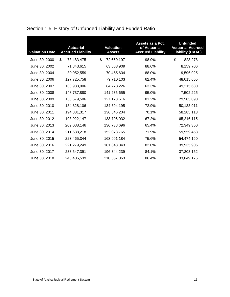| <b>Valuation Date</b> | <b>Actuarial</b><br><b>Accrued Liability</b> | <b>Valuation</b><br><b>Assets</b> | Assets as a Pct.<br>of Actuarial<br><b>Accrued Liability</b> | <b>Unfunded</b><br><b>Actuarial Accrued</b><br><b>Liability (UAAL)</b> |
|-----------------------|----------------------------------------------|-----------------------------------|--------------------------------------------------------------|------------------------------------------------------------------------|
| June 30, 2000         | \$<br>73,483,475                             | \$<br>72,660,197                  | 98.9%                                                        | \$<br>823,278                                                          |
| June 30, 2002         | 71,843,615                                   | 63,683,909                        | 88.6%                                                        | 8,159,706                                                              |
| June 30, 2004         | 80,052,559                                   | 70,455,634                        | 88.0%                                                        | 9,596,925                                                              |
| June 30, 2006         | 127,725,758                                  | 79,710,103                        | 62.4%                                                        | 48,015,655                                                             |
| June 30, 2007         | 133,988,906                                  | 84,773,226                        | 63.3%                                                        | 49,215,680                                                             |
| June 30, 2008         | 148,737,880                                  | 141,235,655                       | 95.0%                                                        | 7,502,225                                                              |
| June 30, 2009         | 156,679,506                                  | 127,173,616                       | 81.2%                                                        | 29,505,890                                                             |
| June 30, 2010         | 184,828,106                                  | 134,694,195                       | 72.9%                                                        | 50,133,911                                                             |
| June 30, 2011         | 194,831,317                                  | 136,546,204                       | 70.1%                                                        | 58,285,113                                                             |
| June 30, 2012         | 198,922,147                                  | 133,706,032                       | 67.2%                                                        | 65,216,115                                                             |
| June 30, 2013         | 209,088,146                                  | 136,738,696                       | 65.4%                                                        | 72,349,350                                                             |
| June 30, 2014         | 211,638,218                                  | 152,078,765                       | 71.9%                                                        | 59,559,453                                                             |
| June 30, 2015         | 223,465,344                                  | 168,991,184                       | 75.6%                                                        | 54,474,160                                                             |
| June 30, 2016         | 221,279,249                                  | 181,343,343                       | 82.0%                                                        | 39,935,906                                                             |
| June 30, 2017         | 233,547,391                                  | 196,344,239                       | 84.1%                                                        | 37,203,152                                                             |
| June 30, 2018         | 243,406,539                                  | 210,357,363                       | 86.4%                                                        | 33,049,176                                                             |

## <span id="page-19-0"></span>Section 1.5: History of Unfunded Liability and Funded Ratio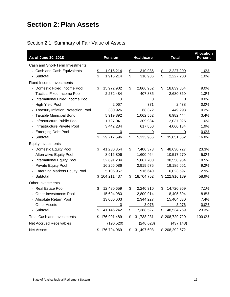## <span id="page-20-0"></span>**Section 2: Plan Assets**

## <span id="page-20-1"></span>Section 2.1: Summary of Fair Value of Assets

| As of June 30, 2018                       | <b>Pension</b>    |               | <b>Healthcare</b> |               | <b>Total</b>  | <b>Allocation</b><br><b>Percent</b> |
|-------------------------------------------|-------------------|---------------|-------------------|---------------|---------------|-------------------------------------|
| Cash and Short-Term Investments           |                   |               |                   |               |               |                                     |
| - Cash and Cash Equivalents               | \$<br>1,916,214   | $\frac{1}{2}$ | 310,986           | $\frac{2}{3}$ | 2,227,200     | 1.0%                                |
| - Subtotal                                | \$<br>1,916,214   | \$            | 310,986           | \$            | 2,227,200     | 1.0%                                |
| <b>Fixed Income Investments</b>           |                   |               |                   |               |               |                                     |
| - Domestic Fixed Income Pool              | \$<br>15,972,902  | \$            | 2,866,952         | \$            | 18,839,854    | 9.0%                                |
| <b>Tactical Fixed Income Pool</b>         | 2,272,484         |               | 407,885           |               | 2,680,369     | 1.3%                                |
| International Fixed Income Pool           | 0                 |               | 0                 |               | 0             | 0.0%                                |
| - High Yield Pool                         | 2,067             |               | 371               |               | 2,438         | 0.0%                                |
| <b>Treasury Inflation Protection Pool</b> | 380,926           |               | 68,372            |               | 449,298       | 0.2%                                |
| <b>Taxable Municipal Bond</b>             | 5,919,892         |               | 1,062,552         |               | 6,982,444     | 3.4%                                |
| - Infrastructure Public Pool              | 1,727,041         |               | 309,984           |               | 2,037,025     | 1.0%                                |
| - Infrastructure Private Pool             | 3,442,284         |               | 617,850           |               | 4,060,134     | 1.9%                                |
| <b>Emerging Debt Pool</b>                 | 0                 |               | $\overline{0}$    |               | $\pmb{0}$     | 0.0%                                |
| Subtotal                                  | \$<br>29,717,596  | \$            | 5,333,966         | \$            | 35,051,562    | 16.8%                               |
| <b>Equity Investments</b>                 |                   |               |                   |               |               |                                     |
| - Domestic Equity Pool                    | \$<br>41,230,354  | \$            | 7,400,373         | \$            | 48,630,727    | 23.3%                               |
| <b>Alternative Equity Pool</b>            | 8,916,806         |               | 1,600,464         |               | 10,517,270    | 5.0%                                |
| - International Equity Pool               | 32,691,234        |               | 5,867,700         |               | 38,558,934    | 18.5%                               |
| - Private Equity Pool                     | 16,266,086        |               | 2,919,575         |               | 19,185,661    | 9.2%                                |
| <b>Emerging Markets Equity Pool</b>       | 5,106,957         |               | 916,640           |               | 6,023,597     | 2.9%                                |
| Subtotal                                  | \$104,211,437     | \$            | 18,704,752        |               | \$122,916,189 | 58.9%                               |
| Other Investments                         |                   |               |                   |               |               |                                     |
| - Real Estate Pool                        | \$<br>12,480,659  | \$            | 2,240,310         | \$            | 14,720,969    | 7.1%                                |
| <b>Other Investments Pool</b>             | 15,604,980        |               | 2,800,914         |               | 18,405,894    | 8.8%                                |
| - Absolute Return Pool                    | 13,060,603        |               | 2,344,227         |               | 15,404,830    | 7.4%                                |
| - Other Assets                            | 0                 |               | 3,076             |               | 3,076         | 0.0%                                |
| - Subtotal                                | \$<br>41,146,242  | $\frac{1}{2}$ | 7,388,527         | \$            | 48,534,769    | 23.3%                               |
| <b>Total Cash and Investments</b>         | \$<br>176,991,489 | \$            | 31,738,231        |               | \$208,729,720 | 100.0%                              |
| <b>Net Accrued Receivables</b>            | (196, 520)        |               | (240, 628)        |               | (437, 148)    |                                     |
| <b>Net Assets</b>                         | \$176,794,969     | \$            | 31,497,603        |               | \$208,292,572 |                                     |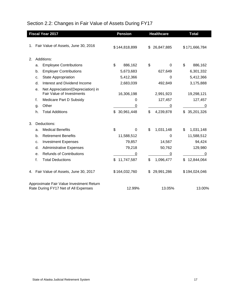## <span id="page-21-0"></span>Section 2.2: Changes in Fair Value of Assets During FY17

|                                                                                  |    | <b>Fiscal Year 2017</b>                | <b>Pension</b>   | <b>Healthcare</b> | <b>Total</b> |               |
|----------------------------------------------------------------------------------|----|----------------------------------------|------------------|-------------------|--------------|---------------|
|                                                                                  |    |                                        |                  |                   |              |               |
|                                                                                  |    | 1. Fair Value of Assets, June 30, 2016 | \$144,818,899    | \$<br>26,847,885  |              | \$171,666,784 |
|                                                                                  |    |                                        |                  |                   |              |               |
| 2.                                                                               |    | Additions:                             |                  |                   |              |               |
|                                                                                  | a. | <b>Employee Contributions</b>          | \$<br>886,162    | \$<br>0           | \$           | 886,162       |
|                                                                                  | b. | <b>Employer Contributions</b>          | 5,673,683        | 627,649           |              | 6,301,332     |
|                                                                                  | c. | <b>State Appropriation</b>             | 5,412,366        | 0                 |              | 5,412,366     |
|                                                                                  | d. | Interest and Dividend Income           | 2,683,039        | 492,849           |              | 3,175,888     |
|                                                                                  | е. | Net Appreciation/(Depreciation) in     |                  |                   |              |               |
|                                                                                  |    | Fair Value of Investments              | 16,306,198       | 2,991,923         |              | 19,298,121    |
|                                                                                  | f. | Medicare Part D Subsidy                | 0                | 127,457           |              | 127,457       |
|                                                                                  | g. | Other                                  | 0                | 0                 |              | 0             |
|                                                                                  | h. | <b>Total Additions</b>                 | \$30,961,448     | \$<br>4,239,878   | \$           | 35,201,326    |
| 3.                                                                               |    | Deductions:                            |                  |                   |              |               |
|                                                                                  | a. | <b>Medical Benefits</b>                | \$<br>$\Omega$   | \$<br>1,031,148   | \$           | 1,031,148     |
|                                                                                  | b. | <b>Retirement Benefits</b>             | 11,588,512       | $\Omega$          |              | 11,588,512    |
|                                                                                  | c. | <b>Investment Expenses</b>             | 79,857           | 14,567            |              | 94,424        |
|                                                                                  | d. | <b>Administrative Expenses</b>         | 79,218           | 50,762            |              | 129,980       |
|                                                                                  | е. | <b>Refunds of Contributions</b>        | 0                | 0                 |              | 0             |
|                                                                                  | f. | <b>Total Deductions</b>                | \$<br>11,747,587 | \$<br>1,096,477   | \$           | 12,844,064    |
| 4.                                                                               |    | Fair Value of Assets, June 30, 2017    | \$164,032,760    | \$<br>29,991,286  |              | \$194,024,046 |
| Approximate Fair Value Investment Return<br>Rate During FY17 Net of All Expenses |    | 12.99%                                 | 13.05%           |                   | 13.00%       |               |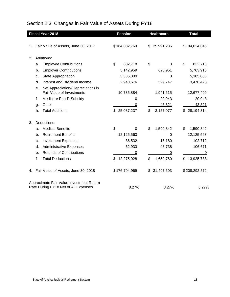## Section 2.3: Changes in Fair Value of Assets During FY18

|    |    | <b>Fiscal Year 2018</b>                                                          | <b>Pension</b>   | <b>Healthcare</b> | <b>Total</b> |               |
|----|----|----------------------------------------------------------------------------------|------------------|-------------------|--------------|---------------|
|    |    |                                                                                  |                  |                   |              |               |
| 1. |    | Fair Value of Assets, June 30, 2017                                              | \$164,032,760    | \$<br>29,991,286  |              | \$194,024,046 |
|    |    |                                                                                  |                  |                   |              |               |
| 2. |    | Additions:                                                                       |                  |                   |              |               |
|    | a. | <b>Employee Contributions</b>                                                    | \$<br>832,718    | \$<br>$\Omega$    | \$           | 832,718       |
|    | b. | <b>Employer Contributions</b>                                                    | 5,142,959        | 620,951           |              | 5,763,910     |
|    | c. | State Appropriation                                                              | 5,385,000        | 0                 |              | 5,385,000     |
|    | d. | Interest and Dividend Income                                                     | 2,940,676        | 529,747           |              | 3,470,423     |
|    | е. | Net Appreciation/(Depreciation) in                                               |                  |                   |              |               |
|    |    | Fair Value of Investments                                                        | 10,735,884       | 1,941,615         |              | 12,677,499    |
|    | f. | Medicare Part D Subsidy                                                          | 0                | 20,943            |              | 20,943        |
|    | g. | Other                                                                            | 0                | 43,821            |              | 43,821        |
|    | h. | <b>Total Additions</b>                                                           | \$25,037,237     | \$<br>3,157,077   | \$           | 28,194,314    |
| 3. |    | Deductions:                                                                      |                  |                   |              |               |
|    | a. | <b>Medical Benefits</b>                                                          | \$<br>0          | \$<br>1,590,842   | \$           | 1,590,842     |
|    | b. | <b>Retirement Benefits</b>                                                       | 12,125,563       | $\overline{0}$    |              | 12,125,563    |
|    | c. | <b>Investment Expenses</b>                                                       | 86,532           | 16,180            |              | 102,712       |
|    | d. | <b>Administrative Expenses</b>                                                   | 62,933           | 43,738            |              | 106,671       |
|    | е. | <b>Refunds of Contributions</b>                                                  | 0                | 0                 |              | 0             |
|    | f. | <b>Total Deductions</b>                                                          | \$<br>12,275,028 | \$<br>1,650,760   | \$           | 13,925,788    |
| 4. |    | Fair Value of Assets, June 30, 2018                                              | \$176,794,969    | \$<br>31,497,603  |              | \$208,292,572 |
|    |    | Approximate Fair Value Investment Return<br>Rate During FY18 Net of All Expenses | 8.27%            | 8.27%             |              | 8.27%         |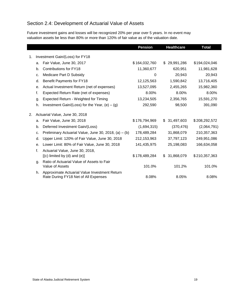### <span id="page-23-0"></span>Section 2.4: Development of Actuarial Value of Assets

Future investment gains and losses will be recognized 20% per year over 5 years. In no event may valuation assets be less than 80% or more than 120% of fair value as of the valuation date.

|    |    |                                                                                       | <b>Pension</b> | <b>Healthcare</b> | <b>Total</b>  |
|----|----|---------------------------------------------------------------------------------------|----------------|-------------------|---------------|
|    |    |                                                                                       |                |                   |               |
| 1. |    | Investment Gain/(Loss) for FY18                                                       |                |                   |               |
|    | a. | Fair Value, June 30, 2017                                                             | \$164,032,760  | 29,991,286<br>\$  | \$194,024,046 |
|    | b. | Contributions for FY18                                                                | 11,360,677     | 620,951           | 11,981,628    |
|    | c. | Medicare Part D Subsidy                                                               | 0              | 20,943            | 20,943        |
|    | d. | Benefit Payments for FY18                                                             | 12,125,563     | 1,590,842         | 13,716,405    |
|    | е. | Actual Investment Return (net of expenses)                                            | 13,527,095     | 2,455,265         | 15,982,360    |
|    | f. | Expected Return Rate (net of expenses)                                                | 8.00%          | 8.00%             | 8.00%         |
|    | g. | Expected Return - Weighted for Timing                                                 | 13,234,505     | 2,356,765         | 15,591,270    |
|    | h. | Investment Gain/(Loss) for the Year, $(e) - (g)$                                      | 292,590        | 98,500            | 391,090       |
| 2. |    | Actuarial Value, June 30, 2018                                                        |                |                   |               |
|    | a. | Fair Value, June 30, 2018                                                             | \$176,794,969  | 31,497,603<br>\$  | \$208,292,572 |
|    | b. | Deferred Investment Gain/(Loss)                                                       | (1,694,315)    | (370, 476)        | (2,064,791)   |
|    | c. | Preliminary Actuarial Value, June 30, 2018, (a) $-$ (b)                               | 178,489,284    | 31,868,079        | 210,357,363   |
|    | d. | Upper Limit: 120% of Fair Value, June 30, 2018                                        | 212, 153, 963  | 37,797,123        | 249,951,086   |
|    | е. | Lower Limit: 80% of Fair Value, June 30, 2018                                         | 141,435,975    | 25,198,083        | 166,634,058   |
|    | f. | Actuarial Value, June 30, 2018,                                                       |                |                   |               |
|    |    | $[(c)$ limited by $(d)$ and $(e)]$                                                    | \$178,489,284  | 31,868,079<br>\$. | \$210,357,363 |
|    | g. | Ratio of Actuarial Value of Assets to Fair<br>Value of Assets                         | 101.0%         | 101.2%            | 101.0%        |
|    | h. | Approximate Actuarial Value Investment Return<br>Rate During FY18 Net of All Expenses | 8.08%          | 8.05%             | 8.08%         |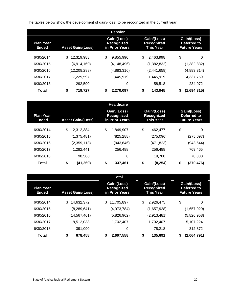The tables below show the development of gain/(loss) to be recognized in the current year.

|                                  |                          | <b>Pension</b>                              |                                                      |                                                   |
|----------------------------------|--------------------------|---------------------------------------------|------------------------------------------------------|---------------------------------------------------|
| <b>Plan Year</b><br><b>Ended</b> | <b>Asset Gain/(Loss)</b> | Gain/(Loss)<br>Recognized<br>in Prior Years | Gain/(Loss)<br><b>Recognized</b><br><b>This Year</b> | Gain/(Loss)<br>Deferred to<br><b>Future Years</b> |
| 6/30/2014                        | \$<br>12,319,988         | \$<br>9,855,990                             | \$<br>2.463.998                                      | \$<br>0                                           |
| 6/30/2015                        | (6,914,160)              | (4,148,496)                                 | (1,382,832)                                          | (1,382,832)                                       |
| 6/30/2016                        | (12, 208, 288)           | (4,883,316)                                 | (2,441,658)                                          | (4,883,314)                                       |
| 6/30/2017                        | 7,229,597                | 1,445,919                                   | 1,445,919                                            | 4,337,759                                         |
| 6/30/2018                        | 292.590                  | 0                                           | 58.518                                               | 234.072                                           |
| <b>Total</b>                     | \$<br>719.727            | \$<br>2.270.097                             | \$<br>143,945                                        | (1,694,315)<br>S                                  |

|                                  |                          | <b>Healthcare</b>                           |                                        |                                                   |
|----------------------------------|--------------------------|---------------------------------------------|----------------------------------------|---------------------------------------------------|
| <b>Plan Year</b><br><b>Ended</b> | <b>Asset Gain/(Loss)</b> | Gain/(Loss)<br>Recognized<br>in Prior Years | Gain/(Loss)<br>Recognized<br>This Year | Gain/(Loss)<br>Deferred to<br><b>Future Years</b> |
| 6/30/2014                        | \$<br>2.312.384          | \$<br>1.849.907                             | \$<br>462.477                          | \$<br>$\Omega$                                    |
| 6/30/2015                        | (1,375,481)              | (825, 288)                                  | (275,096)                              | (275,097)                                         |
| 6/30/2016                        | (2,359,113)              | (943,646)                                   | (471,823)                              | (943,644)                                         |
| 6/30/2017                        | 1.282.441                | 256.488                                     | 256.488                                | 769.465                                           |
| 6/30/2018                        | 98,500                   | 0                                           | 19.700                                 | 78,800                                            |
| Total                            | \$<br>(41,269)           | \$<br>337.461                               | \$<br>(8, 254)                         | \$<br>(370,476)                                   |

|                                  |                          | <b>Total</b>                                |                                               |                                                   |
|----------------------------------|--------------------------|---------------------------------------------|-----------------------------------------------|---------------------------------------------------|
| <b>Plan Year</b><br><b>Ended</b> | <b>Asset Gain/(Loss)</b> | Gain/(Loss)<br>Recognized<br>in Prior Years | Gain/(Loss)<br>Recognized<br><b>This Year</b> | Gain/(Loss)<br>Deferred to<br><b>Future Years</b> |
| 6/30/2014                        | 14,632,372<br>S          | \$<br>11.705.897                            | \$<br>2.926.475                               | \$<br>0                                           |
| 6/30/2015                        | (8, 289, 641)            | (4,973,784)                                 | (1,657,928)                                   | (1,657,929)                                       |
| 6/30/2016                        | (14, 567, 401)           | (5,826,962)                                 | (2,913,481)                                   | (5,826,958)                                       |
| 6/30/2017                        | 8,512,038                | 1,702,407                                   | 1,702,407                                     | 5.107.224                                         |
| 6/30/2018                        | 391.090                  | 0                                           | 78.218                                        | 312.872                                           |
| <b>Total</b>                     | \$<br>678.458            | \$<br>2.607.558                             | \$<br>135.691                                 | \$<br>(2,064,791)                                 |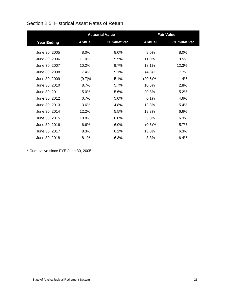|                    |               | <b>Actuarial Value</b> |               | <b>Fair Value</b> |
|--------------------|---------------|------------------------|---------------|-------------------|
| <b>Year Ending</b> | <b>Annual</b> | Cumulative*            | <b>Annual</b> | Cumulative*       |
| June 30, 2005      | 8.0%          | 8.0%                   | 8.0%          | 8.0%              |
| June 30, 2006      | 11.0%         | 9.5%                   | 11.0%         | 9.5%              |
| June 30, 2007      | 10.2%         | 9.7%                   | 18.1%         | 12.3%             |
| June 30, 2008      | 7.4%          | 9.1%                   | (4.8)%        | 7.7%              |
| June 30, 2009      | (9.7)%        | 5.1%                   | $(20.6)\%$    | 1.4%              |
| June 30, 2010      | 8.7%          | 5.7%                   | 10.6%         | 2.8%              |
| June 30, 2011      | 5.0%          | 5.6%                   | 20.8%         | 5.2%              |
| June 30, 2012      | 0.7%          | 5.0%                   | 0.1%          | 4.6%              |
| June 30, 2013      | 3.6%          | 4.8%                   | 12.3%         | 5.4%              |
| June 30, 2014      | 12.2%         | 5.5%                   | 18.3%         | 6.6%              |
| June 30, 2015      | 10.8%         | 6.0%                   | 3.0%          | 6.3%              |
| June 30, 2016      | 6.6%          | 6.0%                   | (0.5)%        | 5.7%              |
| June 30, 2017      | 8.3%          | 6.2%                   | 13.0%         | 6.3%              |
| June 30, 2018      | 8.1%          | 6.3%                   | 8.3%          | 6.4%              |

#### <span id="page-25-0"></span>Section 2.5: Historical Asset Rates of Return

\* Cumulative since FYE June 30, 2005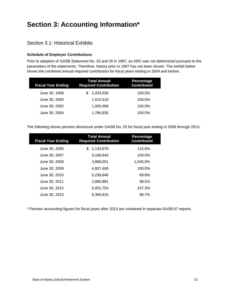## <span id="page-26-0"></span>**Section 3: Accounting Information\***

#### <span id="page-26-1"></span>Section 3.1: Historical Exhibits

#### **Schedule of Employer Contributions**

Prior to adoption of GASB Statement No. 25 and 26 in 1997, an ARC was not determined pursuant to the parameters of the statements. Therefore, history prior to 1997 has not been shown. The exhibit below shows the combined annual required contribution for fiscal years ending in 2004 and before.

| <b>Fiscal Year Ending</b> | Total Annual<br><b>Required Contribution</b> | Percentage<br><b>Contributed</b> |
|---------------------------|----------------------------------------------|----------------------------------|
| June 30, 1998             | 2,204,026                                    | 100.0%                           |
| June 30, 2000             | 1,510,516                                    | 100.0%                           |
| June 30, 2002             | 1.005.968                                    | 100.0%                           |
| June 30, 2004             | 1,786,835                                    | 100.0%                           |

The following shows pension disclosure under GASB No. 25 for fiscal year ending in 2006 through 2013.

| <b>Fiscal Year Ending</b> | Total Annual<br><b>Required Contribution</b> | Percentage<br><b>Contributed</b> |
|---------------------------|----------------------------------------------|----------------------------------|
| June 30, 2006             | 2,133,876<br>\$.                             | 115.6%                           |
| June 30, 2007             | 3,168,943                                    | 100.0%                           |
| June 30, 2008             | 3,898,001                                    | 1,045.0%                         |
| June 30, 2009             | 4.937.406                                    | 100.0%                           |
| June 30, 2010             | 5,236,646                                    | 69.8%                            |
| June 30, 2011             | 3,895,881                                    | 98.5%                            |
| June 30, 2012             | 5,051,754                                    | 107.3%                           |
| June 30, 2013             | 8,366,815                                    | 96.7%                            |

\* Pension accounting figures for fiscal years after 2013 are contained in separate GASB 67 reports.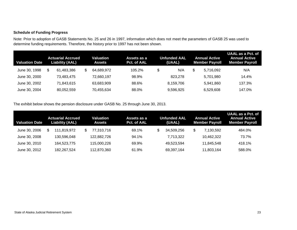#### **Schedule of Funding Progress**

Note: Prior to adoption of GASB Statements No. 25 and 26 in 1997, information which does not meet the parameters of GASB 25 was used to determine funding requirements. Therefore, the history prior to 1997 has not been shown.

| <b>Valuation Date</b> |   | <b>Actuarial Accrued</b><br><b>Liability (AAL)</b> | Valuation<br>Assets | Assets as a<br>Pct. of AAL | <b>Unfunded AAL</b><br>(UAAL) | <b>Annual Active</b><br><b>Member Payroll</b> | <b>UAAL as a Pct. of</b><br><b>Annual Active</b><br><b>Member Payroll</b> |
|-----------------------|---|----------------------------------------------------|---------------------|----------------------------|-------------------------------|-----------------------------------------------|---------------------------------------------------------------------------|
| June 30, 1998         | S | 61.483.386                                         | 64,689,972          | 105.2%                     | \$<br>N/A                     | \$<br>5.716.092                               | N/A                                                                       |
| June 30, 2000         |   | 73.483.475                                         | 72.660.197          | 98.9%                      | 823.278                       | 5.701.980                                     | 14.4%                                                                     |
| June 30, 2002         |   | 71.843.615                                         | 63.683.909          | 88.6%                      | 8.159.706                     | 5.941.860                                     | 137.3%                                                                    |
| June 30, 2004         |   | 80.052.559                                         | 70,455,634          | 88.0%                      | 9,596,925                     | 6,529,608                                     | 147.0%                                                                    |

The exhibit below shows the pension disclosure under GASB No. 25 through June 30, 2013.

| Valuation Date | <b>Actuarial Accrued</b><br>Liability (AAL) | Valuation<br>Assets | Assets as a<br>Pct. of AAL | Unfunded AAL<br>(UAAL) | <b>Annual Active</b><br><b>Member Payroll</b> | UAAL as a Pct. of<br><b>Annual Active</b><br><b>Member Payroll</b> |
|----------------|---------------------------------------------|---------------------|----------------------------|------------------------|-----------------------------------------------|--------------------------------------------------------------------|
| June 30, 2006  | \$<br>111.819.972                           | 77.310.716          | 69.1%                      | 34,509,256             | \$<br>7,130,592                               | 484.0%                                                             |
| June 30, 2008  | 130.596.048                                 | 122.882.726         | 94.1%                      | 7,713,322              | 10,462,322                                    | 73.7%                                                              |
| June 30, 2010  | 164.523.775                                 | 115,000,226         | 69.9%                      | 49,523,594             | 11.845.548                                    | 418.1%                                                             |
| June 30, 2012  | 182,267,524                                 | 112,870,360         | 61.9%                      | 69,397,164             | 11,803,164                                    | 588.0%                                                             |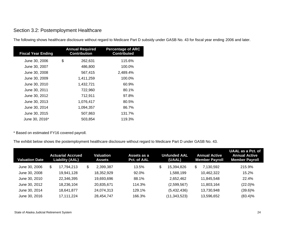#### Section 3.2: Postemployment Healthcare

The following shows healthcare disclosure without regard to Medicare Part D subsidy under GASB No. 43 for fiscal year ending 2006 and later.

| <b>Fiscal Year Ending</b> | <b>Annual Required</b><br><b>Contribution</b> | <b>Percentage of ARC</b><br><b>Contributed</b> |
|---------------------------|-----------------------------------------------|------------------------------------------------|
| June 30, 2006             | \$<br>262,631                                 | 115.6%                                         |
| June 30, 2007             | 486,800                                       | 100.0%                                         |
| June 30, 2008             | 567,415                                       | 2,489.4%                                       |
| June 30, 2009             | 1,411,259                                     | 100.0%                                         |
| June 30, 2010             | 1,432,721                                     | 60.9%                                          |
| June 30, 2011             | 722,960                                       | 80.1%                                          |
| June 30, 2012             | 712,911                                       | 97.8%                                          |
| June 30, 2013             | 1,076,417                                     | 80.5%                                          |
| June 30, 2014             | 1,094,357                                     | 86.7%                                          |
| June 30, 2015             | 507,863                                       | 131.7%                                         |
| June 30, 2016*            | 503,854                                       | 119.3%                                         |

<span id="page-28-0"></span>\* Based on estimated FY16 covered payroll.

The exhibit below shows the postemployment healthcare disclosure without regard to Medicare Part D under GASB No. 43.

| <b>Valuation Date</b> | <b>Actuarial Accrued</b><br><b>Liability (AAL)</b> | Valuation<br><b>Assets</b> | Assets as a<br>Pct. of AAL | <b>Unfunded AAL</b><br>(UAAL) | <b>Annual Active</b><br><b>Member Payroll</b> | UAAL as a Pct. of<br><b>Annual Active</b><br><b>Member Payroll</b> |
|-----------------------|----------------------------------------------------|----------------------------|----------------------------|-------------------------------|-----------------------------------------------|--------------------------------------------------------------------|
| June 30, 2006         | \$<br>17,794,213                                   | \$<br>2,399,387            | 13.5%                      | \$<br>15,394,826              | \$<br>7.130.592                               | 215.9%                                                             |
| June 30, 2008         | 19.941.128                                         | 18,352,929                 | 92.0%                      | 588,199,ا                     | 10,462,322                                    | 15.2%                                                              |
| June 30, 2010         | 22,346,395                                         | 19,693,696                 | 88.1%                      | 2,652,462                     | 11.845.548                                    | 22.4%                                                              |
| June 30, 2012         | 18,236,104                                         | 20,835,671                 | 114.3%                     | (2,599,567)                   | 11,803,164                                    | $(22.0)\%$                                                         |
| June 30, 2014         | 18.641.877                                         | 24,074,313                 | 129.1%                     | (5,432,436)                   | 13,730,948                                    | $(39.6)\%$                                                         |
| June 30, 2016         | 17.111.224                                         | 28.454.747                 | 166.3%                     | (11,343,523)                  | 13,596,652                                    | $(83.4)\%$                                                         |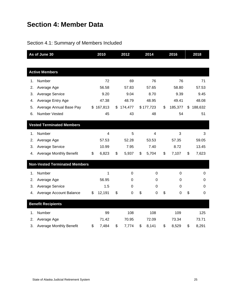## <span id="page-29-0"></span>**Section 4: Member Data**

## <span id="page-29-1"></span>Section 4.1: Summary of Members Included

| As of June 30 |                                      | 2010           | 2012          | 2014              | 2016          | 2018          |  |
|---------------|--------------------------------------|----------------|---------------|-------------------|---------------|---------------|--|
|               |                                      |                |               |                   |               |               |  |
|               | <b>Active Members</b>                |                |               |                   |               |               |  |
| 1.            | Number                               | 72             | 69            | 76                | 76            | 71            |  |
| 2.            | Average Age                          | 56.58          | 57.83         | 57.65             | 58.80         | 57.53         |  |
| 3.            | <b>Average Service</b>               | 9.20           | 9.04          | 8.70              | 9.39          | 9.45          |  |
| 4.            | Average Entry Age                    | 47.38          | 48.79         | 48.95             | 49.41         | 48.08         |  |
| 5.            | Average Annual Base Pay              | \$167,813      | \$<br>174,477 | \$177,723         | \$<br>185,377 | \$<br>188,632 |  |
| 6.            | <b>Number Vested</b>                 | 45             | 43            | 48                | 54            | 51            |  |
|               | <b>Vested Terminated Members</b>     |                |               |                   |               |               |  |
| 1.            | Number                               | $\overline{4}$ | 5             | 4                 | 3             | 3             |  |
| 2.            | Average Age                          | 57.53          | 52.28         | 53.53             | 57.35         | 59.05         |  |
| 3.            | <b>Average Service</b>               | 10.99          | 7.95          | 7.40              | 8.72          | 13.45         |  |
|               |                                      |                | \$            | \$                |               | \$            |  |
| 4.            | <b>Average Monthly Benefit</b>       | \$<br>6,823    | 5,937         | 5,704             | \$<br>7,107   | 7,623         |  |
|               | <b>Non-Vested Terminated Members</b> |                |               |                   |               |               |  |
| 1.            | Number                               | 1              | 0             | $\mathbf 0$       | $\mathbf 0$   | 0             |  |
| 2.            | Average Age                          | 56.95          | 0             | 0                 | 0             | 0             |  |
| 3.            | <b>Average Service</b>               | 1.5            | 0             | 0                 | 0             | 0             |  |
| 4.            | Average Account Balance              | \$<br>12,191   | \$<br>0       | \$<br>$\mathbf 0$ | \$<br>0       | \$<br>0       |  |
|               | <b>Benefit Recipients</b>            |                |               |                   |               |               |  |
| 1.            | Number                               | 99             | 108           | 108               | 109           | 125           |  |
| 2.            | Average Age                          | 71.42          | 70.95         | 72.09             | 73.34         | 73.71         |  |
| 3.            | <b>Average Monthly Benefit</b>       | \$<br>7,484    | \$<br>7,774   | \$<br>8,141       | \$<br>8,529   | \$<br>8,291   |  |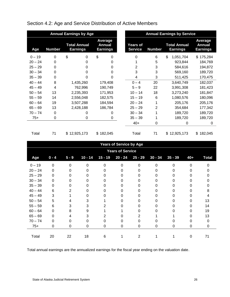<span id="page-30-0"></span>

| Section 4.2: Age and Service Distribution of Active Members |  |
|-------------------------------------------------------------|--|
|                                                             |  |

|           |               | <b>Annual Earnings by Age</b>          |                                                    | <b>Annual Earnings by Service</b> |               |                                        |                                      |  |
|-----------|---------------|----------------------------------------|----------------------------------------------------|-----------------------------------|---------------|----------------------------------------|--------------------------------------|--|
| Age       | <b>Number</b> | <b>Total Annual</b><br><b>Earnings</b> | <b>Average</b><br><b>Annual</b><br><b>Earnings</b> | <b>Years of</b><br><b>Service</b> | <b>Number</b> | <b>Total Annual</b><br><b>Earnings</b> | Average<br>Annual<br><b>Earnings</b> |  |
| $0 - 19$  | 0             | \$<br>0                                | \$<br>0                                            | 0                                 | 6             | \$<br>1,051,704                        | \$175,284                            |  |
| $20 - 24$ | 0             | 0                                      | 0                                                  |                                   | 5             | 923,844                                | 184,769                              |  |
| $25 - 29$ | 0             | 0                                      | 0                                                  | 2                                 | 3             | 584,616                                | 194,872                              |  |
| $30 - 34$ | 0             | 0                                      | 0                                                  | 3                                 | 3             | 569,160                                | 189,720                              |  |
| $35 - 39$ | 0             | 0                                      | 0                                                  | 4                                 | 3             | 511,425                                | 170,475                              |  |
| $40 - 44$ | 8             | 1,435,260                              | 179,408                                            | $0 - 4$                           | 20            | 3,640,749                              | 182,037                              |  |
| $45 - 49$ | 4             | 762,996                                | 190,749                                            | $5 - 9$                           | 22            | 3,991,308                              | 181,423                              |  |
| $50 - 54$ | 13            | 2,235,393                              | 171,953                                            | $10 - 14$                         | 18            | 3,273,240                              | 181,847                              |  |
| $55 - 59$ | 14            | 2,556,048                              | 182,575                                            | $15 - 19$                         | 6             | 1,080,576                              | 180,096                              |  |
| $60 - 64$ | 19            | 3,507,288                              | 184,594                                            | $20 - 24$                         |               | 205,176                                | 205,176                              |  |
| $65 - 69$ | 13            | 2,428,188                              | 186,784                                            | $25 - 29$                         | 2             | 354,684                                | 177,342                              |  |
| $70 - 74$ | 0             | 0                                      | 0                                                  | $30 - 34$                         |               | 189,720                                | 189,720                              |  |
| $75+$     | 0             | 0                                      | 0                                                  | $35 - 39$                         |               | 189,720                                | 189,720                              |  |
|           |               |                                        |                                                    | $40+$                             | 0             | 0                                      | 0                                    |  |
| Total     | 71            | \$12,925,173                           | \$182,045                                          | Total                             | 71            | 12,925,173<br>\$                       | \$182,045                            |  |

|           | <b>Years of Service by Age</b> |                |           |           |                         |           |           |           |       |              |  |  |  |
|-----------|--------------------------------|----------------|-----------|-----------|-------------------------|-----------|-----------|-----------|-------|--------------|--|--|--|
|           |                                |                |           |           | <b>Years of Service</b> |           |           |           |       |              |  |  |  |
| Age       | $0 - 4$                        | $5 - 9$        | $10 - 14$ | $15 - 19$ | $20 - 24$               | $25 - 29$ | $30 - 34$ | $35 - 39$ | $40+$ | <b>Total</b> |  |  |  |
| $0 - 19$  | 0                              | 0              | 0         | O         | $\Omega$                | $\Omega$  | 0         | 0         |       |              |  |  |  |
| $20 - 24$ | $\Omega$                       | 0              | O         |           | 0                       | O         | 0         | O         |       |              |  |  |  |
| $25 - 29$ | $\Omega$                       | 0              | O         |           | 0                       | 0         | 0         | 0         |       |              |  |  |  |
| $30 - 34$ | $\Omega$                       | 0              | 0         |           | 0                       |           | 0         |           |       |              |  |  |  |
| $35 - 39$ | 0                              | 0              | 0         |           | 0                       |           | 0         | Ω         |       |              |  |  |  |
| $40 - 44$ | 6                              | $\overline{2}$ | 0         |           | 0                       |           | 0         | 0         |       | 8            |  |  |  |
| $45 - 49$ | 3                              |                | 0         |           | 0                       | 0         | 0         | 0         |       |              |  |  |  |
| $50 - 54$ | 5                              | 4              | 3         |           | 0                       | O         | 0         | 0         |       | 13           |  |  |  |
| $55 - 59$ | 6                              | 3              | 3         |           | 0                       | O         | 0         | O         |       | 14           |  |  |  |
| $60 - 64$ | $\Omega$                       | 8              | 9         |           |                         |           | Ω         |           |       | 19           |  |  |  |
| $65 - 69$ | 0                              |                | 3         |           |                         |           |           |           |       | 13           |  |  |  |
| $70 - 74$ | 0                              | 0              | 0         |           | 0                       |           |           |           |       | 0            |  |  |  |
| $75+$     | 0                              | 0              | 0         | 0         | 0                       | 0         | 0         | 0         | 0     | 0            |  |  |  |
|           |                                |                |           |           |                         |           |           |           |       |              |  |  |  |
| Total     | 20                             | 22             | 18        | 6         |                         | 2         |           |           | O     | 71           |  |  |  |

Total annual earnings are the annualized earnings for the fiscal year ending on the valuation date.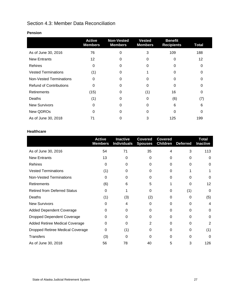### <span id="page-31-0"></span>Section 4.3: Member Data Reconciliation

|                                | <b>Active</b><br><b>Members</b> | <b>Non-Vested</b><br><b>Members</b> | <b>Vested</b><br><b>Members</b> | <b>Benefit</b><br><b>Recipients</b> | <b>Total</b> |
|--------------------------------|---------------------------------|-------------------------------------|---------------------------------|-------------------------------------|--------------|
| As of June 30, 2016            | 76                              | 0                                   | 3                               | 109                                 | 188          |
| <b>New Entrants</b>            | 12                              | O                                   | 0                               | 0                                   | 12           |
| Rehires                        | 0                               | 0                                   | 0                               | Ω                                   | 0            |
| <b>Vested Terminations</b>     | (1)                             | O                                   |                                 |                                     |              |
| <b>Non-Vested Terminations</b> | $\Omega$                        |                                     | 0                               |                                     |              |
| <b>Refund of Contributions</b> | $\Omega$                        |                                     | 0                               |                                     |              |
| Retirements                    | (15)                            | 0                                   | (1)                             | 16                                  | 0            |
| Deaths                         | (1)                             | 0                                   | 0                               | (6)                                 | (7)          |
| <b>New Survivors</b>           | 0                               | 0                                   | 0                               | 6                                   | 6            |
| New QDROs                      | 0                               | 0                                   | 0                               | 0                                   |              |
| As of June 30, 2018            | 71                              |                                     | 3                               | 125                                 | 199          |

#### **Healthcare**

|                                         | <b>Active</b><br><b>Members</b> | <b>Inactive</b><br><b>Individuals</b> | <b>Covered</b><br><b>Spouses</b> | <b>Covered</b><br><b>Children</b> | <b>Deferred</b> | <b>Total</b><br><b>Inactive</b> |
|-----------------------------------------|---------------------------------|---------------------------------------|----------------------------------|-----------------------------------|-----------------|---------------------------------|
| As of June 30, 2016                     | 54                              | 71                                    | 35                               | 4                                 | 3               | 113                             |
| <b>New Entrants</b>                     | 13                              | 0                                     | $\Omega$                         | 0                                 | 0               | 0                               |
| Rehires                                 | $\Omega$                        | 0                                     | 0                                | 0                                 | 0               | 0                               |
| <b>Vested Terminations</b>              | (1)                             | 0                                     | O                                | 0                                 |                 |                                 |
| <b>Non-Vested Terminations</b>          | $\Omega$                        | 0                                     | 0                                | $\Omega$                          | U               | 0                               |
| <b>Retirements</b>                      | (6)                             | 6                                     | 5                                |                                   | 0               | 12                              |
| <b>Retired from Deferred Status</b>     | $\Omega$                        |                                       | 0                                | 0                                 | (1)             | 0                               |
| <b>Deaths</b>                           | (1)                             | (3)                                   | (2)                              | 0                                 | 0               | (5)                             |
| <b>New Survivors</b>                    | 0                               | 4                                     | $\Omega$                         | 0                                 | 0               | 4                               |
| <b>Added Dependent Coverage</b>         | 0                               | 0                                     | 0                                | 0                                 | 0               | 0                               |
| <b>Dropped Dependent Coverage</b>       | O                               | 0                                     | Ω                                | 0                                 | 0               | 0                               |
| Added Retiree Medical Coverage          | 0                               | 0                                     | 2                                | 0                                 | 0               | 2                               |
| <b>Dropped Retiree Medical Coverage</b> | $\Omega$                        | (1)                                   | 0                                | 0                                 | 0               | (1)                             |
| <b>Transfers</b>                        | (3)                             | 0                                     | 0                                | 0                                 | O               | 0                               |
| As of June 30, 2018                     | 56                              | 78                                    | 40                               | 5                                 | 3               | 126                             |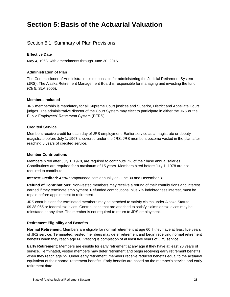## <span id="page-32-0"></span>**Section 5: Basis of the Actuarial Valuation**

#### <span id="page-32-1"></span>Section 5.1: Summary of Plan Provisions

#### **Effective Date**

May 4, 1963, with amendments through June 30, 2016.

#### **Administration of Plan**

The Commissioner of Administration is responsible for administering the Judicial Retirement System (JRS). The Alaska Retirement Management Board is responsible for managing and investing the fund (Ch 5, SLA 2005).

#### **Members Included**

JRS membership is mandatory for all Supreme Court justices and Superior, District and Appellate Court judges. The administrative director of the Court System may elect to participate in either the JRS or the Public Employees' Retirement System (PERS).

#### **Credited Service**

Members receive credit for each day of JRS employment. Earlier service as a magistrate or deputy magistrate before July 1, 1967 is covered under the JRS. JRS members become vested in the plan after reaching 5 years of credited service.

#### **Member Contributions**

Members hired after July 1, 1978, are required to contribute 7% of their base annual salaries. Contributions are required for a maximum of 15 years. Members hired before July 1, 1978 are not required to contribute.

**Interest Credited:** 4.5% compounded semiannually on June 30 and December 31.

**Refund of Contributions:** Non-vested members may receive a refund of their contributions and interest earned if they terminate employment. Refunded contributions, plus 7% indebtedness interest, must be repaid before appointment to retirement.

JRS contributions for terminated members may be attached to satisfy claims under Alaska Statute 09.38.065 or federal tax levies. Contributions that are attached to satisfy claims or tax levies may be reinstated at any time. The member is not required to return to JRS employment.

#### **Retirement Eligibility and Benefits**

**Normal Retirement:** Members are eligible for normal retirement at age 60 if they have at least five years of JRS service. Terminated, vested members may defer retirement and begin receiving normal retirement benefits when they reach age 60. Vesting is completion of at least five years of JRS service.

**Early Retirement:** Members are eligible for early retirement at any age if they have at least 20 years of service. Terminated, vested members may defer retirement and begin receiving early retirement benefits when they reach age 55. Under early retirement, members receive reduced benefits equal to the actuarial equivalent of their normal retirement benefits. Early benefits are based on the member's service and early retirement date.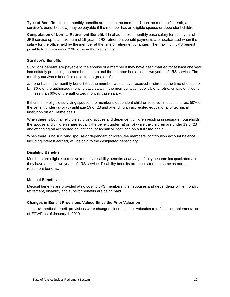**Type of Benefit:** Lifetime monthly benefits are paid to the member. Upon the member's death, a survivor's benefit (below) may be payable if the member has an eligible spouse or dependent children.

**Computation of Normal Retirement Benefit:** 5% of authorized monthly base salary for each year of JRS service up to a maximum of 15 years. JRS retirement benefit payments are recalculated when the salary for the office held by the member at the time of retirement changes. The maximum JRS benefit payable to a member is 75% of the authorized salary.

#### **Survivor's Benefits**

Survivor's benefits are payable to the spouse of a member if they have been married for at least one year immediately preceding the member's death and the member has at least two years of JRS service. The monthly survivor's benefit is equal to the greater of:

- a. one-half of the monthly benefit that the member would have received if retired at the time of death; or
- b. 30% of the authorized monthly base salary if the member was not eligible to retire, or was entitled to less than 60% of the authorized monthly base salary.

If there is no eligible surviving spouse, the member's dependent children receive, in equal shares, 50% of the benefit under (a) or (b) until age 19 or 23 and attending an accredited educational or technical institution on a full-time basis.

When there is both an eligible surviving spouse and dependent children residing in separate households, the spouse and children share equally the benefit under (a) or (b) while the children are under 19 or 23 and attending an accredited educational or technical institution on a full-time basis.

When there is no surviving spouse or dependent children, the members' contribution account balance, including interest earned, will be paid to the designated beneficiary.

#### **Disability Benefits**

Members are eligible to receive monthly disability benefits at any age if they become incapacitated and they have at least two years of JRS service. Disability benefits are calculated the same as normal retirement benefits.

#### **Medical Benefits**

Medical benefits are provided at no cost to JRS members, their spouses and dependents while monthly retirement, disability and survivor benefits are being paid.

#### **Changes in Benefit Provisions Valued Since the Prior Valuation**

The JRS medical benefit provisions were changed since the prior valuation to reflect the implementation of EGWP as of January 1, 2019.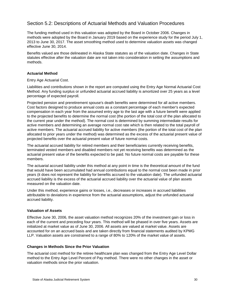#### <span id="page-34-0"></span>Section 5.2: Descriptions of Actuarial Methods and Valuation Procedures

The funding method used in this valuation was adopted by the Board in October 2006. Changes in methods were adopted by the Board in January 2019 based on the experience study for the period July 1, 2013 to June 30, 2017. The asset smoothing method used to determine valuation assets was changed effective June 30, 2014.

Benefits valued are those delineated in Alaska State statutes as of the valuation date. Changes in State statutes effective after the valuation date are not taken into consideration in setting the assumptions and methods.

#### **Actuarial Method**

#### Entry Age Actuarial Cost.

Liabilities and contributions shown in the report are computed using the Entry Age Normal Actuarial Cost Method. Any funding surplus or unfunded actuarial accrued liability is amortized over 25 years as a level percentage of expected payroll.

Projected pension and preretirement spouse's death benefits were determined for all active members. Cost factors designed to produce annual costs as a constant percentage of each member's expected compensation in each year from the assumed entry age to the last age with a future benefit were applied to the projected benefits to determine the normal cost (the portion of the total cost of the plan allocated to the current year under the method). The normal cost is determined by summing intermediate results for active members and determining an average normal cost rate which is then related to the total payroll of active members. The actuarial accrued liability for active members (the portion of the total cost of the plan allocated to prior years under the method) was determined as the excess of the actuarial present value of projected benefits over the actuarial present value of future normal costs.

The actuarial accrued liability for retired members and their beneficiaries currently receiving benefits, terminated vested members and disabled members not yet receiving benefits was determined as the actuarial present value of the benefits expected to be paid. No future normal costs are payable for these members.

The actuarial accrued liability under this method at any point in time is the theoretical amount of the fund that would have been accumulated had annual contributions equal to the normal cost been made in prior years (it does not represent the liability for benefits accrued to the valuation date). The unfunded actuarial accrued liability is the excess of the actuarial accrued liability over the actuarial value of plan assets measured on the valuation date.

Under this method, experience gains or losses, i.e., decreases or increases in accrued liabilities attributable to deviations in experience from the actuarial assumptions, adjust the unfunded actuarial accrued liability.

#### **Valuation of Assets**

Effective June 30, 2006, the asset valuation method recognizes 20% of the investment gain or loss in each of the current and preceding four years. This method will be phased in over five years. Assets are initialized at market value as of June 30, 2006. All assets are valued at market value. Assets are accounted for on an accrued basis and are taken directly from financial statements audited by KPMG LLP. Valuation assets are constrained to a range of 80% to 120% of the market value of assets.

#### **Changes in Methods Since the Prior Valuation**

The actuarial cost method for the retiree healthcare plan was changed from the Entry Age Level Dollar method to the Entry Age Level Percent of Pay method. There were no other changes in the asset or valuation methods since the prior valuation.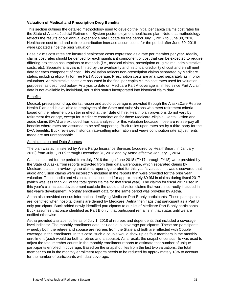#### **Valuation of Medical and Prescription Drug Benefits**

This section outlines the detailed methodology used to develop the initial per capita claims cost rates for the State of Alaska Judicial Retirement System postemployment healthcare plan. Note that methodology reflects the results of our annual experience rate update for the period July 1, 2017 to June 30, 2018. Healthcare cost trend and retiree contribution increase assumptions for the period after June 30, 2018 were updated since the prior valuation.

Base claims cost rates are incurred healthcare costs expressed as a rate per member per year. Ideally, claims cost rates should be derived for each significant component of cost that can be expected to require differing projection assumptions or methods (i.e., medical claims, prescription drug claims, administrative costs, etc). Separate analysis is limited by the availability and historical credibility of cost and enrollment data for each component of cost. This valuation reflects non-prescription claims separated by Medicare status, including eligibility for free Part A coverage. Prescription costs are analyzed separately as in prior valuations. Administrative costs are assumed in the final per capita claims cost rates used for valuation purposes, as described below. Analysis to date on Medicare Part A coverage is limited since Part A claim data is not available by individual, nor is this status incorporated into historical claim data.

#### **Benefits**

Medical, prescription drug, dental, vision and audio coverage is provided through the AlaskaCare Retiree Health Plan and is available to employees of the State and subdivisions who meet retirement criteria based on the retirement plan tier in effect at their date of hire. Health plan provisions do not vary by retirement tier or age, except for Medicare coordination for those Medicare-eligible. Dental, vision and audio claims (DVA) are excluded from data analyzed for this valuation because those are retiree-pay all benefits where rates are assumed to be self-supporting. Buck relies upon rates set by a third-party for the DVA benefits. Buck reviewed historical rate-setting information and views contribution rate adjustments made are not unreasonable.

#### Administration and Data Sources

The plan was administered by Wells Fargo Insurance Services (acquired by HealthSmart, in January 2012) from July 1, 2009 through December 31, 2013 and by Aetna effective January 1, 2014.

Claims incurred for the period from July 2016 through June 2018 (FY17 through FY18) were provided by the State of Alaska from reports extracted from their data warehouse, which separated claims by Medicare status. In reviewing the claims reports generated for this year's valuation, it was discovered that audio and vision claims were incorrectly included in the reports that were provided for the prior year valuation. These audio and vision claims accounted for approximately \$9.9M in claims during fiscal 2017 (which was less than 2% of the total gross claims for that fiscal year). The claims for fiscal 2017 used in this year's claims cost development exclude the audio and vision claims that were incorrectly included in last year's development. Monthly enrollment data for the same period was provided by Aetna.

Aetna also provided census information identifying Medicare Part B only participants. These participants are identified when hospital claims are denied by Medicare; Aetna then flags that participant as a Part B only participant. Buck added newly identified participants to our list of Medicare Part B only participants. Buck assumes that once identified as Part B only, that participant remains in that status until we are notified otherwise.

Aetna provided a snapshot file as of July 1, 2018 of retirees and dependents that included a coverage level indicator. The monthly enrollment data includes dual coverage participants. These are participants whereby both the retiree and spouse are retirees from the State and both are reflected with Couple coverage in the enrollment. In this case, such a couple would show up as four members in the monthly enrollment (each would be both a retiree and a spouse). As a result, the snapshot census file was used to adjust the total member counts in the monthly enrollment reports to estimate that number of unique participants enrolled in coverage. Based on the snapshot files from the last two valuations, the total member count in the monthly enrollment reports needs to be reduced by approximately 13% to account for the number of participants with dual coverage.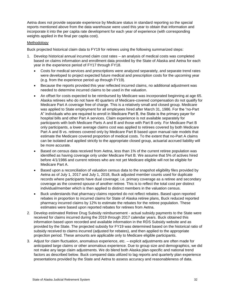Aetna does not provide separate experience by Medicare status in standard reporting so the special reports mentioned above from the data warehouse were used this year to obtain that information and incorporate it into the per capita rate development for each year of experience (with corresponding weights applied in the final per capita cost).

#### Methodology

Buck projected historical claim data to FY19 for retirees using the following summarized steps:

- 1. Develop historical annual incurred claim cost rates an analysis of medical costs was completed based on claims information and enrollment data provided by the State of Alaska and Aetna for each year in the experience period of FY17 through FY18.
	- Costs for medical services and prescriptions were analyzed separately, and separate trend rates were developed to project expected future medical and prescription costs for the upcoming year (e.g. from the experience period up through FY19).
	- Because the reports provided this year reflected incurred claims, no additional adjustment was needed to determine incurred claims to be used in the valuation.
	- An offset for costs expected to be reimbursed by Medicare was incorporated beginning at age 65. Alaska retirees who do not have 40 quarters of Medicare-covered compensation do not qualify for Medicare Part A coverage free of charge. This is a relatively small and closed group. Medicare was applied to State employment for all employees hired after March 31, 1986. For the "no-Part A" individuals who are required to enroll in Medicare Part B, the State is the primary payer for hospital bills and other Part A services. Claim experience is not available separately for participants with both Medicare Parts A and B and those with Part B only. For Medicare Part B only participants, a lower average claims cost was applied to retirees covered by both Medicare Part A and B vs. retirees covered only by Medicare Part B based upon manual rate models that estimate the Medicare covered proportion of medical costs. To the extent that no-Part A claims can be isolated and applied strictly to the appropriate closed group, actuarial accrued liability will be more accurate.
	- Based on census data received from Aetna, less than 1% of the current retiree population was identified as having coverage only under Medicare Part B. We assume that 5% of actives hired before 4/1/1986 and current retirees who are not yet Medicare eligible will not be eligible for Medicare Part A.
	- Based upon a reconciliation of valuation census data to the snapshot eligibility files provided by Aetna as of July 1, 2017 and July 1, 2018, Buck adjusted member counts used for duplicate records where participants have dual coverage; i.e. primary coverage as a retiree and secondary coverage as the covered spouse of another retiree. This is to reflect the total cost per distinct individual/member which is then applied to distinct members in the valuation census.
	- Buck understands that pharmacy claims reported do not reflect rebates. Based upon reported rebates in proportion to incurred claims for State of Alaska retiree plans, Buck reduced reported pharmacy incurred claims by 12% to estimate the rebates for the retiree population. These estimates were based upon reported rebates for retirees from Aetna.
- 2. Develop estimated Retiree Drug Subsidy reimbursement actual subsidy payments to the State were received for claims incurred during the 2019 through 2017 calendar years. Buck obtained this information based upon recorded and available information in the RDS Subsidy website and as provided by the State. The projected subsidy for FY19 was determined based on the historical ratio of subsidy received to claims incurred (adjusted for rebates), and then applied to the appropriate projection period. These amounts are applicable only to Medicare eligible participants.
- 3. Adjust for claim fluctuation, anomalous experience, etc. explicit adjustments are often made for anticipated large claims or other anomalous experience. Due to group size and demographics, we did not make any large claim adjustments. We do blend both Alaska plan-specific and national trend factors as described below. Buck compared data utilized to lag reports and quarterly plan experience presentations provided by the State and Aetna to assess accuracy and reasonableness of data.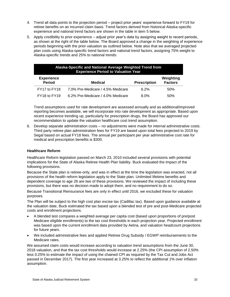- 4. Trend all data points to the projection period project prior years' experience forward to FY19 for retiree benefits on an incurred claim basis. Trend factors derived from historical Alaska-specific experience and national trend factors are shown in the table in item 5 below.
- 5. Apply credibility to prior experience adjust prior year's data by assigning weight to recent periods, as shown at the right of the table below. The Board approved a change in the weighting of experience periods beginning with the prior valuation as outlined below. Note also that we averaged projected plan costs using Alaska-specific trend factors and national trend factors, assigning 75% weight to Alaska-specific trends and 25% to national trends:

| Alaska-Specific and National Average Weighted Trend from<br><b>Experience Period to Valuation Year</b> |                                   |                     |                             |  |  |  |
|--------------------------------------------------------------------------------------------------------|-----------------------------------|---------------------|-----------------------------|--|--|--|
| <b>Experience</b><br><b>Period</b><br><b>Medical</b>                                                   |                                   | <b>Prescription</b> | Weighting<br><b>Factors</b> |  |  |  |
| FY17 to FY18                                                                                           | 7.0% Pre-Medicare / 4.5% Medicare | 6.2%                | .50%                        |  |  |  |
| FY18 to FY19                                                                                           | 6.2% Pre-Medicare / 4.0% Medicare | 8.0%                | 50%                         |  |  |  |

Trend assumptions used for rate development are assessed annually and as additional/improved reporting becomes available, we will incorporate into rate development as appropriate. Based upon recent experience trending up, particularly for prescription drugs, the Board has approved our recommendation to update the valuation healthcare cost trend assumption.

6. Develop separate administration costs – no adjustments were made for internal administrative costs. Third party retiree plan administration fees for FY19 are based upon total fees projected to 2019 by Segal based on actual FY18 fees. The annual per participant per year administrative cost rate for medical and prescription benefits is \$300.

#### **Healthcare Reform**

Healthcare Reform legislation passed on March 23, 2010 included several provisions with potential implications for the State of Alaska Retiree Health Plan liability. Buck evaluated the impact of the following provisions.

Because the State plan is retiree-only, and was in effect at the time the legislation was enacted, not all provisions of the health reform legislation apply to the State plan. Unlimited lifetime benefits and dependent coverage to age 26 are two of these provisions. We reviewed the impact of including these provisions, but there was no decision made to adopt them, and no requirement to do so.

Because Transitional Reinsurance fees are only in effect until 2016, we excluded these for valuation purposes.

The Plan will be subject to the high cost plan excise tax (Cadillac tax). Based upon guidance available at the valuation date, Buck estimated the tax based upon a blended test of pre and post-Medicare projected costs and enrollment projections.

- A blended test compares a weighted average per capita cost (based upon proportions of pre/post Medicare eligible enrollments) to the tax cost thresholds in each projection year. Projected enrollment was based upon the current enrollment data provided by Aetna, and valuation headcount projections for future years.
- We included administrative fees and applied Retiree Drug Subsidy / EGWP reimbursements to the Medicare rates.

We assumed claim costs would increase according to valuation trend assumptions from the June 30, 2018 valuation, and that the tax cost thresholds would increase at 2.25% (the CPI assumption of 2.50% less 0.25% to estimate the impact of using the chained CPI as required by the Tax Cut and Jobs Act passed in December 2017). The first year increased at 3.25% to reflect the additional 1% over inflation assumption.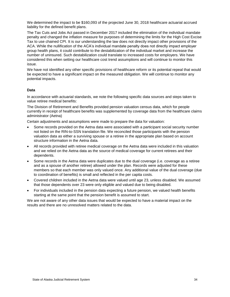We determined the impact to be \$160,093 of the projected June 30, 2018 healthcare actuarial accrued liability for the defined benefit plans.

The Tax Cuts and Jobs Act passed in December 2017 included the elimination of the individual mandate penalty and changed the inflation measure for purposes of determining the limits for the High Cost Excise Tax to use chained CPI. It is our understanding the law does not directly impact other provisions of the ACA. While the nullification of the ACA's individual mandate penalty does not directly impact employer group health plans, it could contribute to the destabilization of the individual market and increase the number of uninsured. Such destabilization could translate to increased costs for employers. We have considered this when setting our healthcare cost trend assumptions and will continue to monitor this issue.

We have not identified any other specific provisions of healthcare reform or its potential repeal that would be expected to have a significant impact on the measured obligation. We will continue to monitor any potential impacts.

#### **Data**

In accordance with actuarial standards, we note the following specific data sources and steps taken to value retiree medical benefits:

The Division of Retirement and Benefits provided pension valuation census data, which for people currently in receipt of healthcare benefits was supplemented by coverage data from the healthcare claims administrator (Aetna)

Certain adjustments and assumptions were made to prepare the data for valuation:

- Some records provided on the Aetna data were associated with a participant social security number not listed on the RIN-to-SSN translation file. We reconciled those participants with the pension valuation data as either a surviving spouse or a retiree in the appropriate plan based on account structure information in the Aetna data.
- All records provided with retiree medical coverage on the Aetna data were included in this valuation and we relied on the Aetna data as the source of medical coverage for current retirees and their dependents.
- Some records in the Aetna data were duplicates due to the dual coverage (i.e. coverage as a retiree and as a spouse of another retiree) allowed under the plan. Records were adjusted for these members so that each member was only valued once. Any additional value of the dual coverage (due to coordination of benefits) is small and reflected in the per capita costs.
- Covered children included in the Aetna data were valued until age 23, unless disabled. We assumed that those dependents over 23 were only eligible and valued due to being disabled.
- For individuals included in the pension data expecting a future pension, we valued health benefits starting at the same point that the pension benefit is assumed to start.

We are not aware of any other data issues that would be expected to have a material impact on the results and there are no unresolved matters related to the data.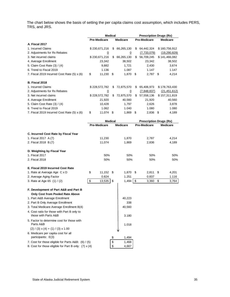The chart below shows the basis of setting the per capita claims cost assumption, which includes PERS, TRS, and JRS.

| <b>Medical</b><br><b>Pre-Medicare</b><br><b>Pre-Medicare</b><br><b>Medicare</b><br><b>Medicare</b><br>A. Fiscal 2017<br>1. Incurred Claims<br>\$<br>66,265,130<br>64,442,324<br>\$160,756,912<br>\$230,671,216<br>\$<br>2. Adjustments for Rx Rebates<br>(7,733,079)<br><u>0</u><br>0<br>\$230,671,216<br>66,265,130<br>56,709,245<br>3. Net incurred claims<br>\$<br>\$<br>\$141,466,082<br>23,342<br>4. Average Enrollment<br>23,342<br>38,502<br>5. Claim Cost Rate (3) / (4)<br>9,882<br>1,721<br>2,430<br>6. Trend to Fiscal 2019<br>1.147<br>1.136<br>1.087<br>\$<br>11,230<br>7. Fiscal 2019 Incurred Cost Rate (5) x (6)<br>- \$<br>1,870<br>\$<br>2,787<br>\$ |  |  | <b>Prescription Drugs (Rx)</b> |  |  |                     |
|------------------------------------------------------------------------------------------------------------------------------------------------------------------------------------------------------------------------------------------------------------------------------------------------------------------------------------------------------------------------------------------------------------------------------------------------------------------------------------------------------------------------------------------------------------------------------------------------------------------------------------------------------------------------|--|--|--------------------------------|--|--|---------------------|
|                                                                                                                                                                                                                                                                                                                                                                                                                                                                                                                                                                                                                                                                        |  |  |                                |  |  |                     |
|                                                                                                                                                                                                                                                                                                                                                                                                                                                                                                                                                                                                                                                                        |  |  |                                |  |  |                     |
|                                                                                                                                                                                                                                                                                                                                                                                                                                                                                                                                                                                                                                                                        |  |  |                                |  |  |                     |
|                                                                                                                                                                                                                                                                                                                                                                                                                                                                                                                                                                                                                                                                        |  |  |                                |  |  | (19, 290, 829)      |
|                                                                                                                                                                                                                                                                                                                                                                                                                                                                                                                                                                                                                                                                        |  |  |                                |  |  |                     |
|                                                                                                                                                                                                                                                                                                                                                                                                                                                                                                                                                                                                                                                                        |  |  |                                |  |  | 38,502              |
|                                                                                                                                                                                                                                                                                                                                                                                                                                                                                                                                                                                                                                                                        |  |  |                                |  |  | 3,674               |
|                                                                                                                                                                                                                                                                                                                                                                                                                                                                                                                                                                                                                                                                        |  |  |                                |  |  | 1.147               |
|                                                                                                                                                                                                                                                                                                                                                                                                                                                                                                                                                                                                                                                                        |  |  |                                |  |  | 4,214               |
| <b>B. Fiscal 2018</b>                                                                                                                                                                                                                                                                                                                                                                                                                                                                                                                                                                                                                                                  |  |  |                                |  |  |                     |
| 1. Incurred Claims<br>\$228,572,782<br>72,875,570<br>65,406,973<br>\$178,763,430<br>\$<br>S.                                                                                                                                                                                                                                                                                                                                                                                                                                                                                                                                                                           |  |  |                                |  |  |                     |
| 2. Adjustments for Rx Rebates<br>(7,848,837)<br>$\overline{0}$<br>$\overline{0}$                                                                                                                                                                                                                                                                                                                                                                                                                                                                                                                                                                                       |  |  |                                |  |  | <u>(21,451,612)</u> |
| 72,875,570<br>3. Net incurred claims<br>\$228,572,782<br>\$<br>\$57,558,136<br>\$157,311,819                                                                                                                                                                                                                                                                                                                                                                                                                                                                                                                                                                           |  |  |                                |  |  |                     |
| 4. Average Enrollment<br>21,920<br>40,560<br>21,920                                                                                                                                                                                                                                                                                                                                                                                                                                                                                                                                                                                                                    |  |  |                                |  |  | 40,560              |
| 5. Claim Cost Rate (3) / (4)<br>10,428<br>1,797<br>2,626                                                                                                                                                                                                                                                                                                                                                                                                                                                                                                                                                                                                               |  |  |                                |  |  | 3,878               |
| 6. Trend to Fiscal 2019<br>1.062<br>1.080<br>1.040                                                                                                                                                                                                                                                                                                                                                                                                                                                                                                                                                                                                                     |  |  |                                |  |  | 1.080               |
| 7. Fiscal 2019 Incurred Cost Rate (5) x (6)<br>\$<br>11,074 \$<br>1,869<br>- \$<br>2,836<br>\$                                                                                                                                                                                                                                                                                                                                                                                                                                                                                                                                                                         |  |  |                                |  |  | 4,189               |
| <b>Medical</b><br><b>Prescription Drugs (Rx)</b>                                                                                                                                                                                                                                                                                                                                                                                                                                                                                                                                                                                                                       |  |  |                                |  |  |                     |
| <b>Pre-Medicare</b><br><b>Pre-Medicare</b><br><b>Medicare</b><br><b>Medicare</b>                                                                                                                                                                                                                                                                                                                                                                                                                                                                                                                                                                                       |  |  |                                |  |  |                     |
| C. Incurred Cost Rate by Fiscal Year                                                                                                                                                                                                                                                                                                                                                                                                                                                                                                                                                                                                                                   |  |  |                                |  |  |                     |
| 11,230<br>1. Fiscal 2017 A.(7)<br>1,870<br>2,787                                                                                                                                                                                                                                                                                                                                                                                                                                                                                                                                                                                                                       |  |  |                                |  |  | 4,214               |
| 2. Fiscal 2018 B.(7)<br>11,074<br>1,869<br>2,836                                                                                                                                                                                                                                                                                                                                                                                                                                                                                                                                                                                                                       |  |  |                                |  |  | 4,189               |
| D. Weighting by Fiscal Year                                                                                                                                                                                                                                                                                                                                                                                                                                                                                                                                                                                                                                            |  |  |                                |  |  |                     |
| 1. Fiscal 2017<br>50%<br>50%<br>50%                                                                                                                                                                                                                                                                                                                                                                                                                                                                                                                                                                                                                                    |  |  |                                |  |  | 50%                 |
| 50%<br>50%<br>50%<br>2. Fiscal 2018                                                                                                                                                                                                                                                                                                                                                                                                                                                                                                                                                                                                                                    |  |  |                                |  |  | 50%                 |
| E. Fiscal 2019 Incurred Cost Rate                                                                                                                                                                                                                                                                                                                                                                                                                                                                                                                                                                                                                                      |  |  |                                |  |  |                     |
| 1. Rate at Average Age C x D<br>\$<br>11,152<br>\$<br>1,870<br>2,811<br>\$<br>4,201<br>\$                                                                                                                                                                                                                                                                                                                                                                                                                                                                                                                                                                              |  |  |                                |  |  |                     |
| 1.251<br>2. Average Aging Factor<br>0.824<br>0.837                                                                                                                                                                                                                                                                                                                                                                                                                                                                                                                                                                                                                     |  |  |                                |  |  | 1.116               |
| \$<br>3. Rate at Age 65 (1) / (2)<br>13,535<br>\$<br>1,494<br>\$<br>\$<br>3,360                                                                                                                                                                                                                                                                                                                                                                                                                                                                                                                                                                                        |  |  |                                |  |  | 3,764               |
| F. Development of Part A&B and Part B                                                                                                                                                                                                                                                                                                                                                                                                                                                                                                                                                                                                                                  |  |  |                                |  |  |                     |
| Only Cost from Pooled Rate Above                                                                                                                                                                                                                                                                                                                                                                                                                                                                                                                                                                                                                                       |  |  |                                |  |  |                     |
| 1. Part A&B Average Enrollment<br>40,223                                                                                                                                                                                                                                                                                                                                                                                                                                                                                                                                                                                                                               |  |  |                                |  |  |                     |
| 2. Part B Only Average Enrollment<br>338                                                                                                                                                                                                                                                                                                                                                                                                                                                                                                                                                                                                                               |  |  |                                |  |  |                     |
| 3. Total Medicare Average Enrollment B(4)<br>40,560                                                                                                                                                                                                                                                                                                                                                                                                                                                                                                                                                                                                                    |  |  |                                |  |  |                     |
| 4. Cost ratio for those with Part B only to<br>those with Parts A&B<br>3.180                                                                                                                                                                                                                                                                                                                                                                                                                                                                                                                                                                                           |  |  |                                |  |  |                     |
| 5. Factor to determine cost for those with<br>Parts A&B<br>1.018                                                                                                                                                                                                                                                                                                                                                                                                                                                                                                                                                                                                       |  |  |                                |  |  |                     |
| $(2) / (3)$ x (4) + (1) / (3) x 1.00                                                                                                                                                                                                                                                                                                                                                                                                                                                                                                                                                                                                                                   |  |  |                                |  |  |                     |
| 6. Medicare per capita cost for all                                                                                                                                                                                                                                                                                                                                                                                                                                                                                                                                                                                                                                    |  |  |                                |  |  |                     |
| participants: E(3)<br>\$<br>1,494                                                                                                                                                                                                                                                                                                                                                                                                                                                                                                                                                                                                                                      |  |  |                                |  |  |                     |
| \$<br>7. Cost for those eligible for Parts A&B: (6) / (5)<br>1,468<br>\$<br>8. Cost for those eligible for Part B only: (7) x (4)<br>4,667                                                                                                                                                                                                                                                                                                                                                                                                                                                                                                                             |  |  |                                |  |  |                     |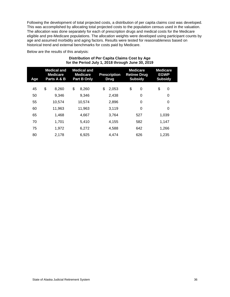Following the development of total projected costs, a distribution of per capita claims cost was developed. This was accomplished by allocating total projected costs to the population census used in the valuation. The allocation was done separately for each of prescription drugs and medical costs for the Medicare eligible and pre-Medicare populations. The allocation weights were developed using participant counts by age and assumed morbidity and aging factors. Results were tested for reasonableness based on historical trend and external benchmarks for costs paid by Medicare.

Below are the results of this analysis:

| Distribution of Per Capita Claims Cost by Age     |
|---------------------------------------------------|
| for the Period July 1, 2018 through June 30, 2019 |

| <b>Age</b> | <b>Medical and</b><br><b>Medicare</b><br>Parts A & B | <b>Medical and</b><br><b>Medicare</b><br>Part B Only | <b>Prescription</b><br><b>Drug</b> | <b>Medicare</b><br><b>Retiree Drug</b><br><b>Subsidy</b> | <b>Medicare</b><br><b>EGWP</b><br><b>Subsidy</b> |
|------------|------------------------------------------------------|------------------------------------------------------|------------------------------------|----------------------------------------------------------|--------------------------------------------------|
| 45         | \$<br>8,260                                          | \$<br>8,260                                          | \$<br>2,053                        | \$<br>0                                                  | \$<br>0                                          |
| 50         | 9,346                                                | 9,346                                                | 2,438                              | 0                                                        | 0                                                |
| 55         | 10,574                                               | 10,574                                               | 2,896                              | 0                                                        | 0                                                |
| 60         | 11,963                                               | 11,963                                               | 3,119                              | $\Omega$                                                 | 0                                                |
| 65         | 1,468                                                | 4,667                                                | 3.764                              | 527                                                      | 1.039                                            |
| 70         | 1,701                                                | 5.410                                                | 4.155                              | 582                                                      | 1,147                                            |
| 75         | 1,972                                                | 6,272                                                | 4,588                              | 642                                                      | 1,266                                            |
| 80         | 2,178                                                | 6,925                                                | 4.474                              | 626                                                      | 1.235                                            |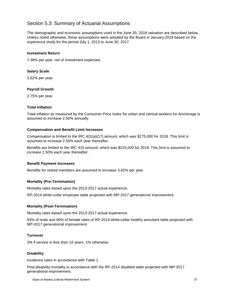#### <span id="page-41-0"></span>Section 5.3: Summary of Actuarial Assumptions

The demographic and economic assumptions used in the June 30, 2018 valuation are described below. Unless noted otherwise, these assumptions were adopted by the Board in January 2019 based on the experience study for the period July 1, 2013 to June 30, 2017.

#### **Investment Return**

7.38% per year, net of investment expenses.

#### **Salary Scale**

3.62% per year.

#### **Payroll Growth**

2.75% per year.

#### **Total Inflation**

Total inflation as measured by the Consumer Price Index for urban and clerical workers for Anchorage is assumed to increase 2.50% annually.

#### **Compensation and Benefit Limit Increases**

Compensation is limited to the IRC 401(a)(17) amount, which was \$275,000 for 2018. This limit is assumed to increase 2.50% each year thereafter.

Benefits are limited to the IRC 415 amount, which was \$220,000 for 2018. This limit is assumed to increase 2.50% each year thereafter.

#### **Benefit Payment Increases**

Benefits for retired members are assumed to increase 3.62% per year.

#### **Mortality (Pre-Termination)**

Mortality rates based upon the 2013-2017 actual experience.

RP-2014 white-collar employee table projected with MP-2017 generational improvement.

#### **Mortality (Post-Termination)**

Mortality rates based upon the 2013-2017 actual experience.

93% of male and 90% of female rates of RP-2014 white-collar healthy annuitant table projected with MP-2017 generational improvement.

#### **Turnover**

3% if service is less than 10 years, 1% otherwise.

#### **Disability**

Incidence rates in accordance with Table 1.

Post-disability mortality in accordance with the RP-2014 disabled table projected with MP-2017 generational improvement.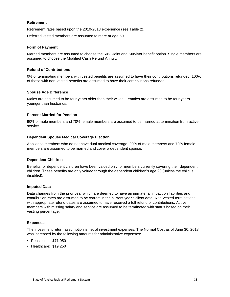#### **Retirement**

Retirement rates based upon the 2010-2013 experience (see Table 2).

Deferred vested members are assumed to retire at age 60.

#### **Form of Payment**

Married members are assumed to choose the 50% Joint and Survivor benefit option. Single members are assumed to choose the Modified Cash Refund Annuity.

#### **Refund of Contributions**

0% of terminating members with vested benefits are assumed to have their contributions refunded. 100% of those with non-vested benefits are assumed to have their contributions refunded.

#### **Spouse Age Difference**

Males are assumed to be four years older than their wives. Females are assumed to be four years younger than husbands.

#### **Percent Married for Pension**

90% of male members and 70% female members are assumed to be married at termination from active service.

#### **Dependent Spouse Medical Coverage Election**

Applies to members who do not have dual medical coverage. 90% of male members and 70% female members are assumed to be married and cover a dependent spouse.

#### **Dependent Children**

Benefits for dependent children have been valued only for members currently covering their dependent children. These benefits are only valued through the dependent children's age 23 (unless the child is disabled).

#### **Imputed Data**

Data changes from the prior year which are deemed to have an immaterial impact on liabilities and contribution rates are assumed to be correct in the current year's client data. Non-vested terminations with appropriate refund dates are assumed to have received a full refund of contributions. Active members with missing salary and service are assumed to be terminated with status based on their vesting percentage.

#### **Expenses**

The investment return assumption is net of investment expenses. The Normal Cost as of June 30, 2018 was increased by the following amounts for administrative expenses:

- Pension: \$71,050
- Healthcare: \$19,250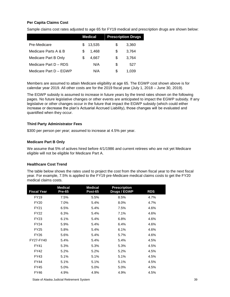#### **Per Capita Claims Cost**

Sample claims cost rates adjusted to age 65 for FY19 medical and prescription drugs are shown below:

|                        | <b>Medical</b> |        | <b>Prescription Drugs</b> |       |
|------------------------|----------------|--------|---------------------------|-------|
| Pre-Medicare           | S              | 13,535 | \$                        | 3,360 |
| Medicare Parts A & B   | S              | 1.468  | S                         | 3.764 |
| Medicare Part B Only   | S              | 4.667  | S                         | 3.764 |
| Medicare Part D - RDS  |                | N/A    | S                         | 527   |
| Medicare Part D - EGWP |                | N/A    | S                         | 1.039 |

Members are assumed to attain Medicare eligibility at age 65. The EGWP cost shown above is for calendar year 2019. All other costs are for the 2019 fiscal year (July 1, 2018 – June 30, 2019).

The EGWP subsidy is assumed to increase in future years by the trend rates shown on the following pages. No future legislative changes or other events are anticipated to impact the EGWP subsidy. If any legislative or other changes occur in the future that impact the EGWP subsidy (which could either increase or decrease the plan's Actuarial Accrued Liability), those changes will be evaluated and quantified when they occur.

#### **Third Party Administrator Fees**

\$300 per person per year; assumed to increase at 4.5% per year.

#### **Medicare Part B Only**

We assume that 5% of actives hired before 4/1/1986 and current retirees who are not yet Medicare eligible will not be eligible for Medicare Part A.

#### **Healthcare Cost Trend**

The table below shows the rates used to project the cost from the shown fiscal year to the next fiscal year. For example, 7.5% is applied to the FY19 pre-Medicare medical claims costs to get the FY20 medical claims costs.

| <b>Fiscal Year</b> | <b>Medical</b><br><b>Pre-65</b> | <b>Medical</b><br><b>Post-65</b> | <b>Prescription</b><br>Drugs / EGWP | <b>RDS</b> |
|--------------------|---------------------------------|----------------------------------|-------------------------------------|------------|
| <b>FY19</b>        | 7.5%                            | 5.5%                             | 8.5%                                | 4.7%       |
| <b>FY20</b>        | 7.0%                            | 5.4%                             | 8.0%                                | 4.7%       |
| <b>FY21</b>        | 6.5%                            | 5.4%                             | 7.5%                                | 4.6%       |
| <b>FY22</b>        | 6.3%                            | 5.4%                             | 7.1%                                | 4.6%       |
| <b>FY23</b>        | 6.1%                            | 5.4%                             | 6.8%                                | 4.6%       |
| <b>FY24</b>        | 5.9%                            | 5.4%                             | 6.4%                                | 4.6%       |
| <b>FY25</b>        | 5.8%                            | 5.4%                             | 6.1%                                | 4.6%       |
| <b>FY26</b>        | 5.6%                            | 5.4%                             | 5.7%                                | 4.6%       |
| FY27-FY40          | 5.4%                            | 5.4%                             | 5.4%                                | 4.5%       |
| FY41               | 5.3%                            | 5.3%                             | 5.3%                                | 4.5%       |
| FY42               | 5.2%                            | 5.2%                             | 5.2%                                | 4.5%       |
| FY43               | 5.1%                            | 5.1%                             | 5.1%                                | 4.5%       |
| <b>FY44</b>        | 5.1%                            | 5.1%                             | 5.1%                                | 4.5%       |
| <b>FY45</b>        | 5.0%                            | 5.0%                             | 5.0%                                | 4.5%       |
| FY46               | 4.9%                            | 4.9%                             | 4.9%                                | 4.5%       |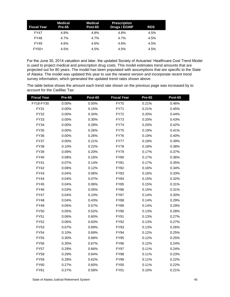| <b>Fiscal Year</b> | Medical<br><b>Pre-65</b> | Medical<br>Post-65 | <b>Prescription</b><br>Drugs / EGWP | <b>RDS</b> |
|--------------------|--------------------------|--------------------|-------------------------------------|------------|
| <b>FY47</b>        | 4.8%                     | 4.8%               | 4.8%                                | 4.5%       |
| <b>FY48</b>        | 4.7%                     | 4.7%               | 4.7%                                | 4.5%       |
| <b>FY49</b>        | 4.6%                     | 4.6%               | 4.6%                                | 4.5%       |
| $FY50+$            | 4.5%                     | 4.5%               | 4.5%                                | 4.5%       |

For the June 30, 2014 valuation and later, the updated Society of Actuaries' Healthcare Cost Trend Model is used to project medical and prescription drug costs. This model estimates trend amounts that are projected out for 80 years. The model has been populated with assumptions that are specific to the State of Alaska. The model was updated this year to use the newest version and incorporate recent trend survey information, which generated the updated trend rates shown above.

The table below shows the amount each trend rate shown on the previous page was increased by to account for the Cadillac Tax:

| <b>Fiscal Year</b> | <b>Pre-65</b> | <b>Post-65</b> | <b>Fiscal Year</b> | <b>Pre-65</b> | Post-65 |
|--------------------|---------------|----------------|--------------------|---------------|---------|
| FY18-FY30          | 0.00%         | 0.00%          | <b>FY70</b>        | 0.21%         | 0.46%   |
| FY31               | 0.00%         | 0.15%          | FY71               | 0.21%         | 0.45%   |
| FY32               | 0.00%         | 0.34%          | <b>FY72</b>        | 0.20%         | 0.44%   |
| FY33               | 0.00%         | 0.30%          | <b>FY73</b>        | 0.20%         | 0.43%   |
| <b>FY34</b>        | 0.00%         | 0.28%          | <b>FY74</b>        | 0.20%         | 0.42%   |
| <b>FY35</b>        | 0.00%         | 0.26%          | <b>FY75</b>        | 0.19%         | 0.41%   |
| <b>FY36</b>        | 0.00%         | 0.26%          | <b>FY76</b>        | 0.19%         | 0.40%   |
| <b>FY37</b>        | 0.00%         | 0.21%          | <b>FY77</b>        | 0.18%         | 0.39%   |
| <b>FY38</b>        | 0.10%         | 0.22%          | <b>FY78</b>        | 0.18%         | 0.38%   |
| FY39               | 0.09%         | 0.20%          | <b>FY79</b>        | 0.17%         | 0.37%   |
| <b>FY40</b>        | 0.08%         | 0.16%          | <b>FY80</b>        | 0.17%         | 0.36%   |
| FY41               | 0.07%         | 0.14%          | <b>FY81</b>        | 0.17%         | 0.35%   |
| <b>FY42</b>        | 0.06%         | 0.12%          | <b>FY82</b>        | 0.16%         | 0.34%   |
| <b>FY43</b>        | 0.04%         | 0.06%          | <b>FY83</b>        | 0.16%         | 0.33%   |
| <b>FY44</b>        | 0.04%         | 0.07%          | <b>FY84</b>        | 0.15%         | 0.32%   |
| FY45               | 0.04%         | 0.06%          | <b>FY85</b>        | 0.15%         | 0.31%   |
| <b>FY46</b>        | 0.03%         | 0.05%          | <b>FY86</b>        | 0.15%         | 0.31%   |
| <b>FY47</b>        | 0.04%         | 0.10%          | <b>FY87</b>        | 0.14%         | 0.30%   |
| <b>FY48</b>        | 0.04%         | 0.43%          | <b>FY88</b>        | 0.14%         | 0.29%   |
| <b>FY49</b>        | 0.05%         | 0.57%          | <b>FY89</b>        | 0.14%         | 0.29%   |
| <b>FY50</b>        | 0.05%         | 0.52%          | <b>FY90</b>        | 0.13%         | 0.28%   |
| <b>FY51</b>        | 0.06%         | 0.60%          | FY91               | 0.13%         | 0.27%   |
| <b>FY52</b>        | 0.06%         | 0.63%          | FY92               | 0.13%         | 0.27%   |
| <b>FY53</b>        | 0.07%         | 0.69%          | FY93               | 0.13%         | 0.26%   |
| <b>FY54</b>        | 0.10%         | 0.69%          | <b>FY94</b>        | 0.12%         | 0.25%   |
| <b>FY55</b>        | 0.30%         | 0.68%          | <b>FY95</b>        | 0.12%         | 0.25%   |
| <b>FY56</b>        | 0.30%         | 0.67%          | <b>FY96</b>        | 0.12%         | 0.24%   |
| <b>FY57</b>        | 0.29%         | 0.66%          | <b>FY97</b>        | 0.11%         | 0.24%   |
| <b>FY58</b>        | 0.29%         | 0.64%          | <b>FY98</b>        | 0.11%         | 0.23%   |
| <b>FY59</b>        | 0.28%         | 0.62%          | <b>FY99</b>        | 0.11%         | 0.22%   |
| FY60               | 0.27%         | 0.60%          | <b>FY00</b>        | 0.11%         | 0.22%   |
| FY61               | 0.27%         | 0.58%          | <b>FY01</b>        | 0.10%         | 0.21%   |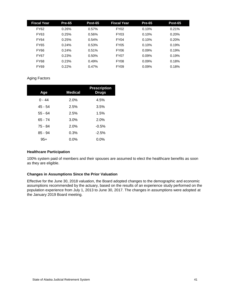| <b>Fiscal Year</b> | <b>Pre-65</b> | Post-65 | <b>Fiscal Year</b> | <b>Pre-65</b> | Post-65 |
|--------------------|---------------|---------|--------------------|---------------|---------|
| FY62               | 0.26%         | 0.57%   | <b>FY02</b>        | 0.10%         | 0.21%   |
| FY63               | 0.25%         | 0.56%   | <b>FY03</b>        | 0.10%         | 0.20%   |
| <b>FY64</b>        | 0.25%         | 0.54%   | <b>FY04</b>        | 0.10%         | 0.20%   |
| FY65               | 0.24%         | 0.53%   | <b>FY05</b>        | 0.10%         | 0.19%   |
| <b>FY66</b>        | 0.24%         | 0.51%   | <b>FY06</b>        | 0.09%         | 0.19%   |
| <b>FY67</b>        | 0.23%         | 0.50%   | <b>FY07</b>        | 0.09%         | 0.19%   |
| <b>FY68</b>        | 0.23%         | 0.49%   | <b>FY08</b>        | 0.09%         | 0.18%   |
| <b>FY69</b>        | 0.22%         | 0.47%   | <b>FY09</b>        | 0.09%         | 0.18%   |

#### Aging Factors

| Age       | <b>Medical</b> | <b>Prescription</b><br><b>Drugs</b> |
|-----------|----------------|-------------------------------------|
| $0 - 44$  | 2.0%           | 4.5%                                |
| 45 - 54   | 2.5%           | 3.5%                                |
| $55 - 64$ | 2.5%           | 1.5%                                |
| 65 - 74   | 3.0%           | 2.0%                                |
| 75 - 84   | 2.0%           | $-0.5%$                             |
| $85 - 94$ | 0.3%           | $-2.5%$                             |
| 95+       | $0.0\%$        | 0.0%                                |

#### **Healthcare Participation**

100% system paid of members and their spouses are assumed to elect the healthcare benefits as soon as they are eligible.

#### **Changes in Assumptions Since the Prior Valuation**

Effective for the June 30, 2018 valuation, the Board adopted changes to the demographic and economic assumptions recommended by the actuary, based on the results of an experience study performed on the population experience from July 1, 2013 to June 30, 2017. The changes in assumptions were adopted at the January 2019 Board meeting.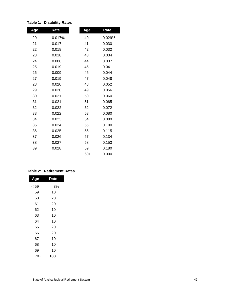| Age | Rate   | Age   | Rate   |
|-----|--------|-------|--------|
| 20  | 0.017% | 40    | 0.029% |
| 21  | 0.017  | 41    | 0.030  |
| 22  | 0.018  | 42    | 0.032  |
| 23  | 0.018  | 43    | 0.034  |
| 24  | 0.008  | 44    | 0.037  |
| 25  | 0.019  | 45    | 0.041  |
| 26  | 0.009  | 46    | 0.044  |
| 27  | 0.019  | 47    | 0.048  |
| 28  | 0.020  | 48    | 0.052  |
| 29  | 0.020  | 49    | 0.056  |
| 30  | 0.021  | 50    | 0.060  |
| 31  | 0.021  | 51    | 0.065  |
| 32  | 0.022  | 52    | 0.072  |
| 33  | 0.022  | 53    | 0.080  |
| 34  | 0.023  | 54    | 0.089  |
| 35  | 0.024  | 55    | 0.100  |
| 36  | 0.025  | 56    | 0.115  |
| 37  | 0.026  | 57    | 0.134  |
| 38  | 0.027  | 58    | 0.153  |
| 39  | 0.028  | 59    | 0.180  |
|     |        | $60+$ | 0.000  |

#### **Table 1: Disability Rates**

#### **Table 2: Retirement Rates**

| Age  | Rate |  |
|------|------|--|
| < 59 | 3%   |  |
| 59   | 10   |  |
| 60   | 20   |  |
| 61   | 20   |  |
| 62   | 10   |  |
| 63   | 10   |  |
| 64   | 10   |  |
| 65   | 20   |  |
| 66   | 20   |  |
| 67   | 10   |  |
| 68   | 10   |  |
| 69   | 10   |  |
| 70+  | 100  |  |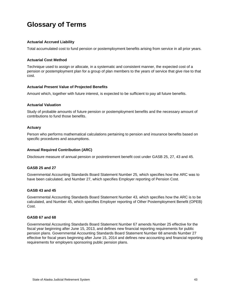## <span id="page-47-0"></span>**Glossary of Terms**

#### **Actuarial Accrued Liability**

Total accumulated cost to fund pension or postemployment benefits arising from service in all prior years.

#### **Actuarial Cost Method**

Technique used to assign or allocate, in a systematic and consistent manner, the expected cost of a pension or postemployment plan for a group of plan members to the years of service that give rise to that cost.

#### **Actuarial Present Value of Projected Benefits**

Amount which, together with future interest, is expected to be sufficient to pay all future benefits.

#### **Actuarial Valuation**

Study of probable amounts of future pension or postemployment benefits and the necessary amount of contributions to fund those benefits.

#### **Actuary**

Person who performs mathematical calculations pertaining to pension and insurance benefits based on specific procedures and assumptions.

#### **Annual Required Contribution (ARC)**

Disclosure measure of annual pension or postretirement benefit cost under GASB 25, 27, 43 and 45.

#### **GASB 25 and 27**

Governmental Accounting Standards Board Statement Number 25, which specifies how the ARC was to have been calculated, and Number 27, which specifies Employer reporting of Pension Cost.

#### **GASB 43 and 45**

Governmental Accounting Standards Board Statement Number 43, which specifies how the ARC is to be calculated, and Number 45, which specifies Employer reporting of Other Postemployment Benefit (OPEB) Cost.

#### **GASB 67 and 68**

Governmental Accounting Standards Board Statement Number 67 amends Number 25 effective for the fiscal year beginning after June 15, 2013, and defines new financial reporting requirements for public pension plans. Governmental Accounting Standards Board Statement Number 68 amends Number 27 effective for fiscal years beginning after June 15, 2014 and defines new accounting and financial reporting requirements for employers sponsoring public pension plans.